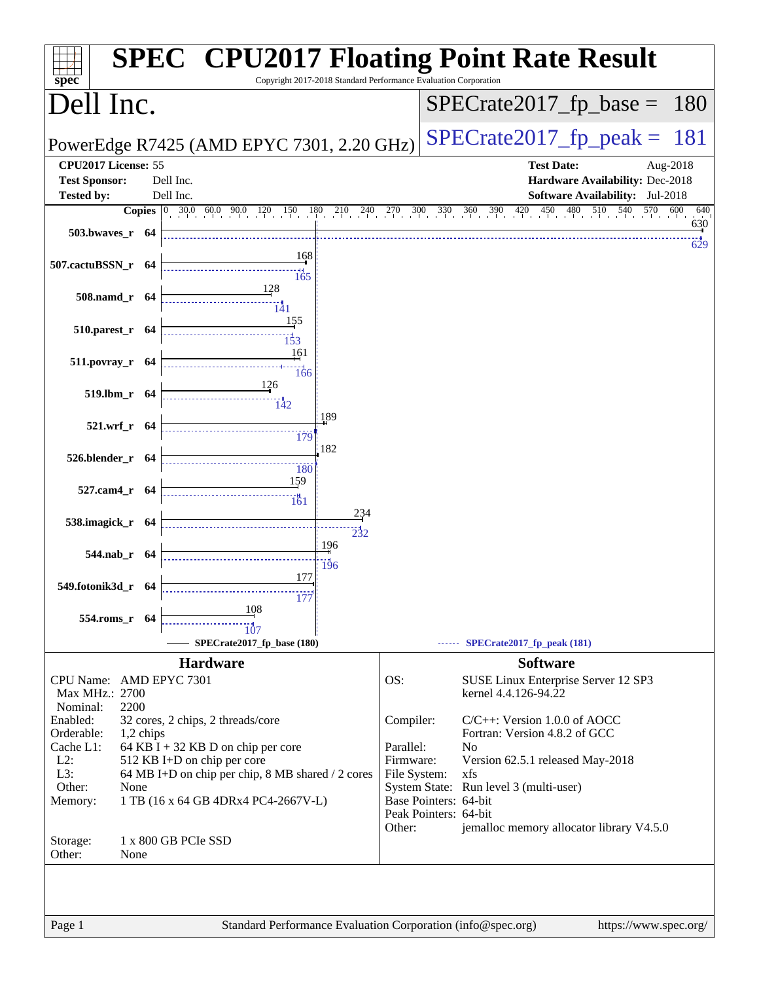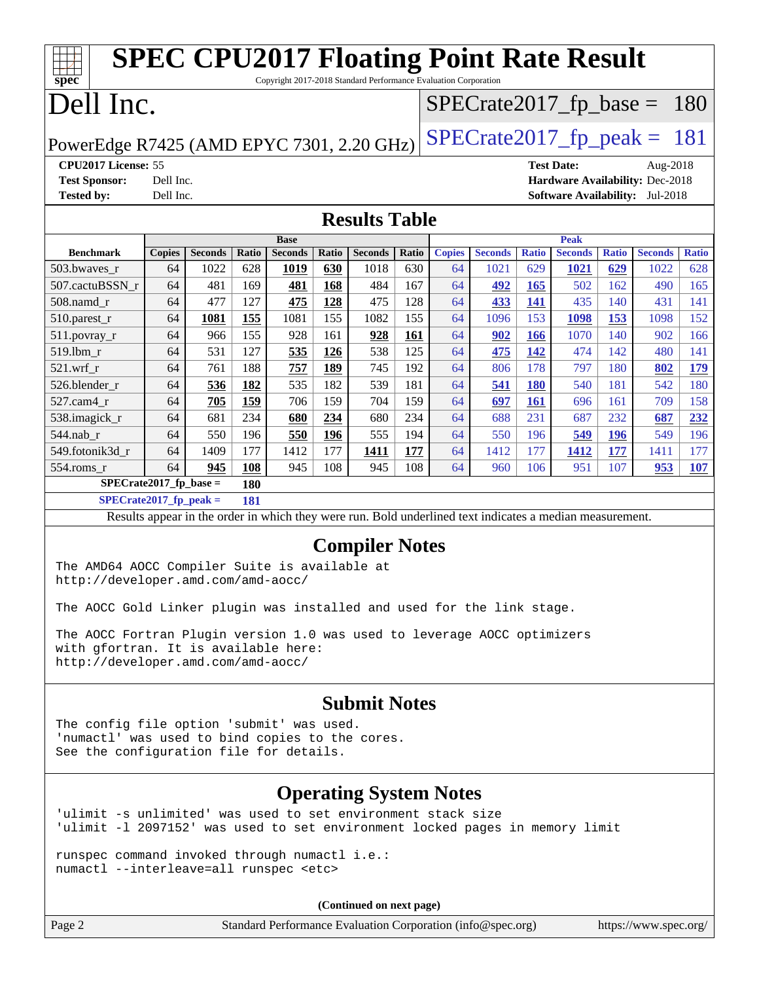| <b>SPEC CPU2017 Floating Point Rate Result</b><br>Copyright 2017-2018 Standard Performance Evaluation Corporation<br>spec <sup>®</sup>                                                                                                                                                                                                                                                                                                                       |                        |                |            |                               |                   |                                                             |            |               |                |              |                               |                   |                                                                           |              |
|--------------------------------------------------------------------------------------------------------------------------------------------------------------------------------------------------------------------------------------------------------------------------------------------------------------------------------------------------------------------------------------------------------------------------------------------------------------|------------------------|----------------|------------|-------------------------------|-------------------|-------------------------------------------------------------|------------|---------------|----------------|--------------|-------------------------------|-------------------|---------------------------------------------------------------------------|--------------|
| Dell Inc.<br>$SPECrate2017_fp\_base =$<br>180                                                                                                                                                                                                                                                                                                                                                                                                                |                        |                |            |                               |                   |                                                             |            |               |                |              |                               |                   |                                                                           |              |
| $SPECTate2017$ _fp_peak = 181                                                                                                                                                                                                                                                                                                                                                                                                                                |                        |                |            |                               |                   |                                                             |            |               |                |              |                               |                   |                                                                           |              |
| PowerEdge R7425 (AMD EPYC 7301, 2.20 GHz)                                                                                                                                                                                                                                                                                                                                                                                                                    |                        |                |            |                               |                   |                                                             |            |               |                |              |                               |                   |                                                                           |              |
| CPU2017 License: 55                                                                                                                                                                                                                                                                                                                                                                                                                                          |                        |                |            |                               |                   |                                                             |            |               |                |              | <b>Test Date:</b>             |                   | Aug-2018                                                                  |              |
| <b>Test Sponsor:</b><br><b>Tested by:</b>                                                                                                                                                                                                                                                                                                                                                                                                                    | Dell Inc.<br>Dell Inc. |                |            |                               |                   |                                                             |            |               |                |              |                               |                   | Hardware Availability: Dec-2018<br><b>Software Availability:</b> Jul-2018 |              |
|                                                                                                                                                                                                                                                                                                                                                                                                                                                              |                        |                |            |                               |                   |                                                             |            |               |                |              |                               |                   |                                                                           |              |
|                                                                                                                                                                                                                                                                                                                                                                                                                                                              |                        |                |            |                               |                   | <b>Results Table</b>                                        |            |               |                |              |                               |                   |                                                                           |              |
| <b>Benchmark</b>                                                                                                                                                                                                                                                                                                                                                                                                                                             | <b>Copies</b>          | <b>Seconds</b> | Ratio      | <b>Base</b><br><b>Seconds</b> | Ratio             | <b>Seconds</b>                                              | Ratio      | <b>Copies</b> | <b>Seconds</b> | <b>Ratio</b> | <b>Peak</b><br><b>Seconds</b> | <b>Ratio</b>      | <b>Seconds</b>                                                            | <b>Ratio</b> |
| 503.bwaves_r                                                                                                                                                                                                                                                                                                                                                                                                                                                 | 64                     | 1022           | 628        | 1019                          | 630               | 1018                                                        | 630        | 64            | 1021           | 629          | 1021                          | 629               | 1022                                                                      | 628          |
| 507.cactuBSSN r                                                                                                                                                                                                                                                                                                                                                                                                                                              | 64                     | 481            | 169        | 481                           | 168               | 484                                                         | 167        | 64            | 492            | 165          | 502                           | 162               | 490                                                                       | 165          |
| 508.namd r                                                                                                                                                                                                                                                                                                                                                                                                                                                   | 64                     | 477            | 127        | 475                           | <b>128</b>        | 475                                                         | 128        | 64            | 433            | <u>141</u>   | 435                           | 140               | 431                                                                       | 141          |
| 510.parest_r                                                                                                                                                                                                                                                                                                                                                                                                                                                 | 64                     | 1081           | 155        | 1081                          | 155               | 1082                                                        | 155        | 64            | 1096           | 153          | 1098                          | 153               | 1098                                                                      | 152          |
| 511.povray_r                                                                                                                                                                                                                                                                                                                                                                                                                                                 | 64                     | 966            | 155        | 928                           | 161               | 928                                                         | 161        | 64            | 902            | 166          | 1070                          | 140               | 902                                                                       | 166          |
| 519.1bm_r                                                                                                                                                                                                                                                                                                                                                                                                                                                    | 64                     | 531            | 127        | 535                           | 126               | 538                                                         | 125        | 64            | 475            | 142          | 474                           | 142               | 480                                                                       | 141          |
| 521.wrf r                                                                                                                                                                                                                                                                                                                                                                                                                                                    | 64                     | 761            | 188        | 757                           | <b>189</b>        | 745                                                         | 192        | 64            | 806            | 178          | 797                           | 180               | 802                                                                       | 179          |
| 526.blender_r                                                                                                                                                                                                                                                                                                                                                                                                                                                | 64                     | 536            | 182        | 535                           | 182               | 539                                                         | 181        | 64            | 541            | <b>180</b>   | 540                           | 181               | 542                                                                       | 180          |
| 527.cam4_r                                                                                                                                                                                                                                                                                                                                                                                                                                                   | 64                     | 705            | 159        | 706                           | 159               | 704                                                         | 159        | 64            | 697            | <b>161</b>   | 696                           | 161               | 709                                                                       | 158          |
| 538.imagick_r                                                                                                                                                                                                                                                                                                                                                                                                                                                | 64                     | 681            | 234        | 680                           | 234               | 680                                                         | 234        | 64            | 688            | 231          | 687                           | 232               | 687                                                                       | 232          |
| 544.nab_r<br>549.fotonik3d_r                                                                                                                                                                                                                                                                                                                                                                                                                                 | 64<br>64               | 550<br>1409    | 196<br>177 | 550<br>1412                   | <b>196</b><br>177 | 555<br>1411                                                 | 194<br>177 | 64<br>64      | 550<br>1412    | 196<br>177   | 549                           | <b>196</b><br>177 | 549                                                                       | 196<br>177   |
| 554.roms_r                                                                                                                                                                                                                                                                                                                                                                                                                                                   | 64                     | 945            | 108        | 945                           | 108               | 945                                                         | 108        | 64            | 960            | 106          | 1412<br>951                   | 107               | 1411<br>953                                                               | 107          |
| $SPECrate2017_fp\_base =$                                                                                                                                                                                                                                                                                                                                                                                                                                    |                        |                | 180        |                               |                   |                                                             |            |               |                |              |                               |                   |                                                                           |              |
| $SPECrate2017_fp_peak =$                                                                                                                                                                                                                                                                                                                                                                                                                                     |                        |                | 181        |                               |                   |                                                             |            |               |                |              |                               |                   |                                                                           |              |
|                                                                                                                                                                                                                                                                                                                                                                                                                                                              |                        |                |            |                               |                   |                                                             |            |               |                |              |                               |                   |                                                                           |              |
| Results appear in the order in which they were run. Bold underlined text indicates a median measurement.<br><b>Compiler Notes</b><br>The AMD64 AOCC Compiler Suite is available at<br>http://developer.amd.com/amd-aocc/<br>The AOCC Gold Linker plugin was installed and used for the link stage.<br>The AOCC Fortran Plugin version 1.0 was used to leverage AOCC optimizers<br>with gfortran. It is available here:<br>http://developer.amd.com/amd-aocc/ |                        |                |            |                               |                   |                                                             |            |               |                |              |                               |                   |                                                                           |              |
| <b>Submit Notes</b><br>The config file option 'submit' was used.<br>'numactl' was used to bind copies to the cores.<br>See the configuration file for details.                                                                                                                                                                                                                                                                                               |                        |                |            |                               |                   |                                                             |            |               |                |              |                               |                   |                                                                           |              |
| <b>Operating System Notes</b>                                                                                                                                                                                                                                                                                                                                                                                                                                |                        |                |            |                               |                   |                                                             |            |               |                |              |                               |                   |                                                                           |              |
| 'ulimit -s unlimited' was used to set environment stack size<br>'ulimit -1 2097152' was used to set environment locked pages in memory limit                                                                                                                                                                                                                                                                                                                 |                        |                |            |                               |                   |                                                             |            |               |                |              |                               |                   |                                                                           |              |
| runspec command invoked through numactl i.e.:<br>numactl --interleave=all runspec <etc></etc>                                                                                                                                                                                                                                                                                                                                                                |                        |                |            |                               |                   |                                                             |            |               |                |              |                               |                   |                                                                           |              |
|                                                                                                                                                                                                                                                                                                                                                                                                                                                              |                        |                |            |                               |                   | (Continued on next page)                                    |            |               |                |              |                               |                   |                                                                           |              |
| Page 2                                                                                                                                                                                                                                                                                                                                                                                                                                                       |                        |                |            |                               |                   | Standard Performance Evaluation Corporation (info@spec.org) |            |               |                |              |                               |                   | https://www.spec.org/                                                     |              |

 $\sqrt{2}$ 

٦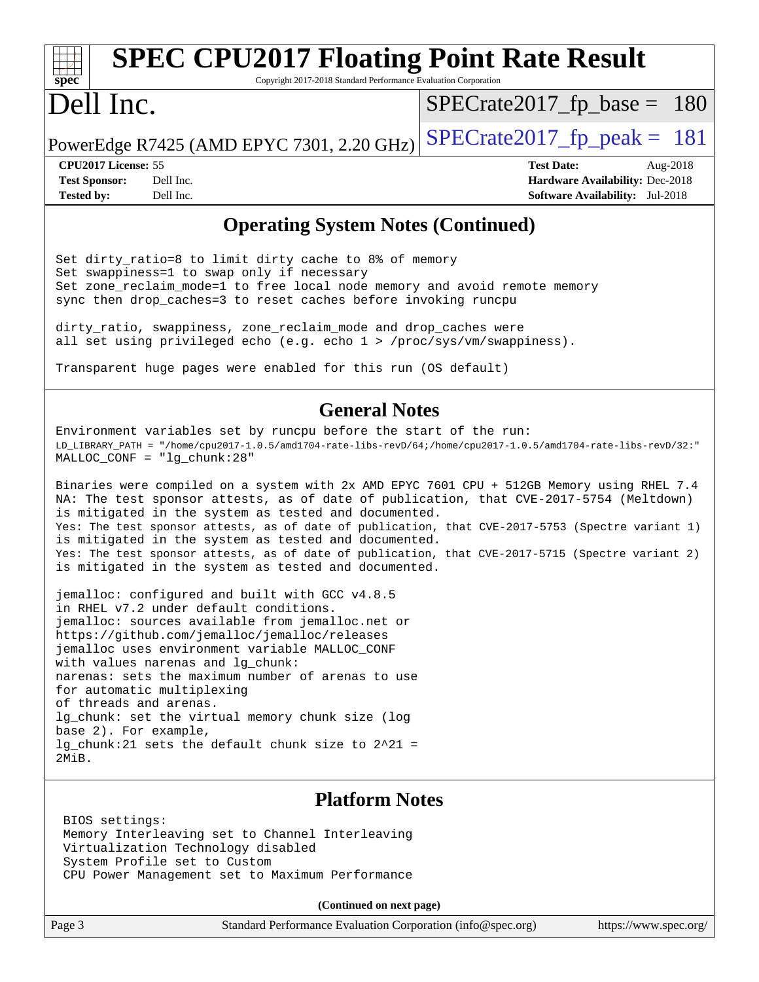#### **[spec](http://www.spec.org/) [SPEC CPU2017 Floating Point Rate Result](http://www.spec.org/auto/cpu2017/Docs/result-fields.html#SPECCPU2017FloatingPointRateResult)** Copyright 2017-2018 Standard Performance Evaluation Corporation Dell Inc. PowerEdge R7425 (AMD EPYC 7301, 2.20 GHz)  $\text{SPECrate2017\_fp\_peak} = 181$ [SPECrate2017\\_fp\\_base =](http://www.spec.org/auto/cpu2017/Docs/result-fields.html#SPECrate2017fpbase) 180 **[CPU2017 License:](http://www.spec.org/auto/cpu2017/Docs/result-fields.html#CPU2017License)** 55 **[Test Date:](http://www.spec.org/auto/cpu2017/Docs/result-fields.html#TestDate)** Aug-2018 **[Test Sponsor:](http://www.spec.org/auto/cpu2017/Docs/result-fields.html#TestSponsor)** Dell Inc. **[Hardware Availability:](http://www.spec.org/auto/cpu2017/Docs/result-fields.html#HardwareAvailability)** Dec-2018

**[Tested by:](http://www.spec.org/auto/cpu2017/Docs/result-fields.html#Testedby)** Dell Inc. **[Software Availability:](http://www.spec.org/auto/cpu2017/Docs/result-fields.html#SoftwareAvailability)** Jul-2018

### **[Operating System Notes \(Continued\)](http://www.spec.org/auto/cpu2017/Docs/result-fields.html#OperatingSystemNotes)**

Set dirty\_ratio=8 to limit dirty cache to 8% of memory Set swappiness=1 to swap only if necessary Set zone\_reclaim\_mode=1 to free local node memory and avoid remote memory sync then drop\_caches=3 to reset caches before invoking runcpu

dirty\_ratio, swappiness, zone\_reclaim\_mode and drop\_caches were all set using privileged echo (e.g. echo 1 > /proc/sys/vm/swappiness).

Transparent huge pages were enabled for this run (OS default)

### **[General Notes](http://www.spec.org/auto/cpu2017/Docs/result-fields.html#GeneralNotes)**

Environment variables set by runcpu before the start of the run: LD\_LIBRARY\_PATH = "/home/cpu2017-1.0.5/amd1704-rate-libs-revD/64;/home/cpu2017-1.0.5/amd1704-rate-libs-revD/32:" MALLOC\_CONF = "lg\_chunk:28"

Binaries were compiled on a system with 2x AMD EPYC 7601 CPU + 512GB Memory using RHEL 7.4 NA: The test sponsor attests, as of date of publication, that CVE-2017-5754 (Meltdown) is mitigated in the system as tested and documented. Yes: The test sponsor attests, as of date of publication, that CVE-2017-5753 (Spectre variant 1) is mitigated in the system as tested and documented. Yes: The test sponsor attests, as of date of publication, that CVE-2017-5715 (Spectre variant 2) is mitigated in the system as tested and documented.

jemalloc: configured and built with GCC v4.8.5 in RHEL v7.2 under default conditions. jemalloc: sources available from jemalloc.net or <https://github.com/jemalloc/jemalloc/releases> jemalloc uses environment variable MALLOC\_CONF with values narenas and lg chunk: narenas: sets the maximum number of arenas to use for automatic multiplexing of threads and arenas. lg\_chunk: set the virtual memory chunk size (log base 2). For example, lg chunk:21 sets the default chunk size to  $2^21$  = 2MiB.

### **[Platform Notes](http://www.spec.org/auto/cpu2017/Docs/result-fields.html#PlatformNotes)**

 BIOS settings: Memory Interleaving set to Channel Interleaving Virtualization Technology disabled System Profile set to Custom CPU Power Management set to Maximum Performance

**(Continued on next page)**

Page 3 Standard Performance Evaluation Corporation [\(info@spec.org\)](mailto:info@spec.org) <https://www.spec.org/>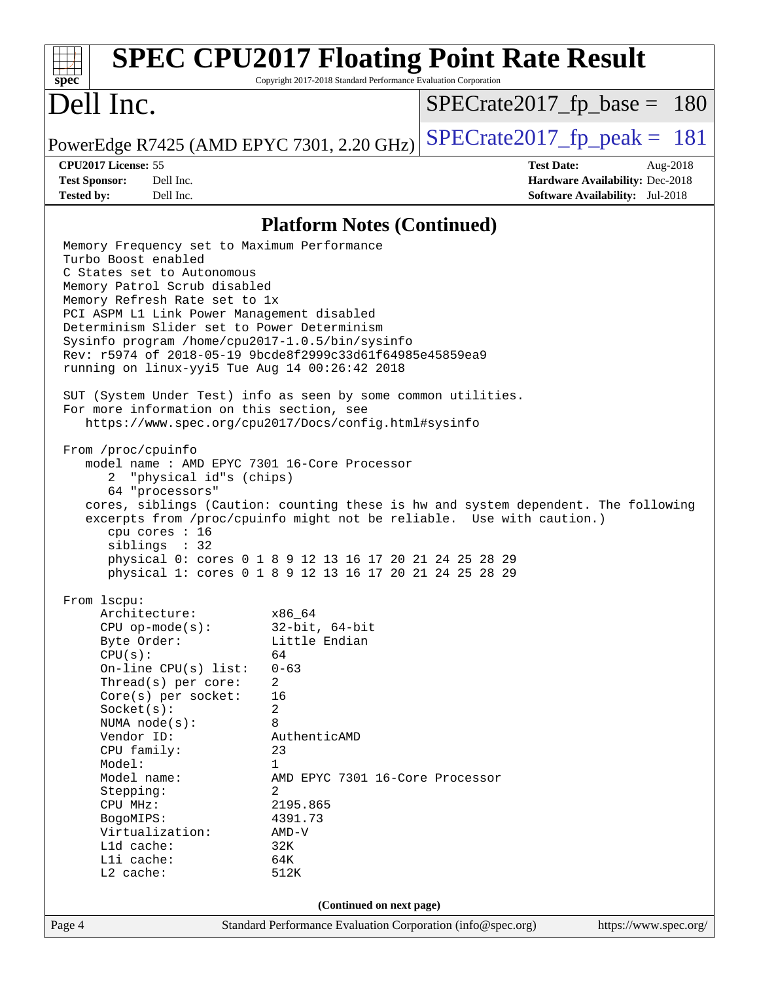| <b>SPEC CPU2017 Floating Point Rate Result</b><br>Copyright 2017-2018 Standard Performance Evaluation Corporation<br>$spec^*$                                                                                     |                                                                                                               |                               |                   |                                 |          |  |
|-------------------------------------------------------------------------------------------------------------------------------------------------------------------------------------------------------------------|---------------------------------------------------------------------------------------------------------------|-------------------------------|-------------------|---------------------------------|----------|--|
| Dell Inc.                                                                                                                                                                                                         |                                                                                                               | $SPECrate2017_fp\_base = 180$ |                   |                                 |          |  |
| PowerEdge R7425 (AMD EPYC 7301, 2.20 GHz)                                                                                                                                                                         |                                                                                                               | $SPECTate2017$ fp peak = 181  |                   |                                 |          |  |
| CPU2017 License: 55<br><b>Test Sponsor:</b><br>Dell Inc.                                                                                                                                                          |                                                                                                               |                               | <b>Test Date:</b> | Hardware Availability: Dec-2018 | Aug-2018 |  |
|                                                                                                                                                                                                                   | Dell Inc.<br><b>Tested by:</b><br><b>Software Availability:</b> Jul-2018<br><b>Platform Notes (Continued)</b> |                               |                   |                                 |          |  |
| Memory Frequency set to Maximum Performance<br>Turbo Boost enabled                                                                                                                                                |                                                                                                               |                               |                   |                                 |          |  |
| Memory Refresh Rate set to 1x                                                                                                                                                                                     | C States set to Autonomous<br>Memory Patrol Scrub disabled                                                    |                               |                   |                                 |          |  |
| PCI ASPM L1 Link Power Management disabled<br>Determinism Slider set to Power Determinism<br>Sysinfo program /home/cpu2017-1.0.5/bin/sysinfo                                                                      |                                                                                                               |                               |                   |                                 |          |  |
| Rev: r5974 of 2018-05-19 9bcde8f2999c33d61f64985e45859ea9<br>running on linux-yyi5 Tue Aug 14 00:26:42 2018                                                                                                       |                                                                                                               |                               |                   |                                 |          |  |
| SUT (System Under Test) info as seen by some common utilities.<br>For more information on this section, see<br>https://www.spec.org/cpu2017/Docs/config.html#sysinfo                                              |                                                                                                               |                               |                   |                                 |          |  |
| From /proc/cpuinfo<br>model name: AMD EPYC 7301 16-Core Processor<br>"physical id"s (chips)<br>2                                                                                                                  |                                                                                                               |                               |                   |                                 |          |  |
| 64 "processors"<br>cores, siblings (Caution: counting these is hw and system dependent. The following<br>excerpts from /proc/cpuinfo might not be reliable. Use with caution.)<br>cpu cores : 16<br>siblings : 32 |                                                                                                               |                               |                   |                                 |          |  |
| physical 0: cores 0 1 8 9 12 13 16 17 20 21 24 25 28 29<br>physical 1: cores 0 1 8 9 12 13 16 17 20 21 24 25 28 29                                                                                                |                                                                                                               |                               |                   |                                 |          |  |
| From 1scpu:<br>Architecture:                                                                                                                                                                                      | x86 64                                                                                                        |                               |                   |                                 |          |  |
| $CPU$ op-mode( $s$ ):                                                                                                                                                                                             | $32$ -bit, $64$ -bit                                                                                          |                               |                   |                                 |          |  |
| CPU(s):                                                                                                                                                                                                           | Byte Order:<br>Little Endian<br>64                                                                            |                               |                   |                                 |          |  |
| On-line CPU(s) list:                                                                                                                                                                                              | $0 - 63$                                                                                                      |                               |                   |                                 |          |  |
|                                                                                                                                                                                                                   | Thread( $s$ ) per core:<br>2                                                                                  |                               |                   |                                 |          |  |
| Socket(s):                                                                                                                                                                                                        | 16<br>$Core(s)$ per socket:<br>2                                                                              |                               |                   |                                 |          |  |
| NUMA node(s):                                                                                                                                                                                                     | 8                                                                                                             |                               |                   |                                 |          |  |
|                                                                                                                                                                                                                   | Vendor ID:<br>AuthenticAMD                                                                                    |                               |                   |                                 |          |  |
| Model:                                                                                                                                                                                                            | CPU family:<br>23<br>$\mathbf{1}$                                                                             |                               |                   |                                 |          |  |
| Model name:                                                                                                                                                                                                       | AMD EPYC 7301 16-Core Processor                                                                               |                               |                   |                                 |          |  |
| Stepping:                                                                                                                                                                                                         | 2                                                                                                             |                               |                   |                                 |          |  |
|                                                                                                                                                                                                                   | 2195.865<br>CPU MHz:<br>4391.73<br>BogoMIPS:                                                                  |                               |                   |                                 |          |  |
| Virtualization:                                                                                                                                                                                                   | $AMD-V$                                                                                                       |                               |                   |                                 |          |  |
| L1d cache:                                                                                                                                                                                                        | 32K                                                                                                           |                               |                   |                                 |          |  |
| Lli cache:<br>L2 cache:                                                                                                                                                                                           | 64K<br>512K                                                                                                   |                               |                   |                                 |          |  |
| (Continued on next page)                                                                                                                                                                                          |                                                                                                               |                               |                   |                                 |          |  |
| Page 4                                                                                                                                                                                                            | Standard Performance Evaluation Corporation (info@spec.org)                                                   |                               |                   | https://www.spec.org/           |          |  |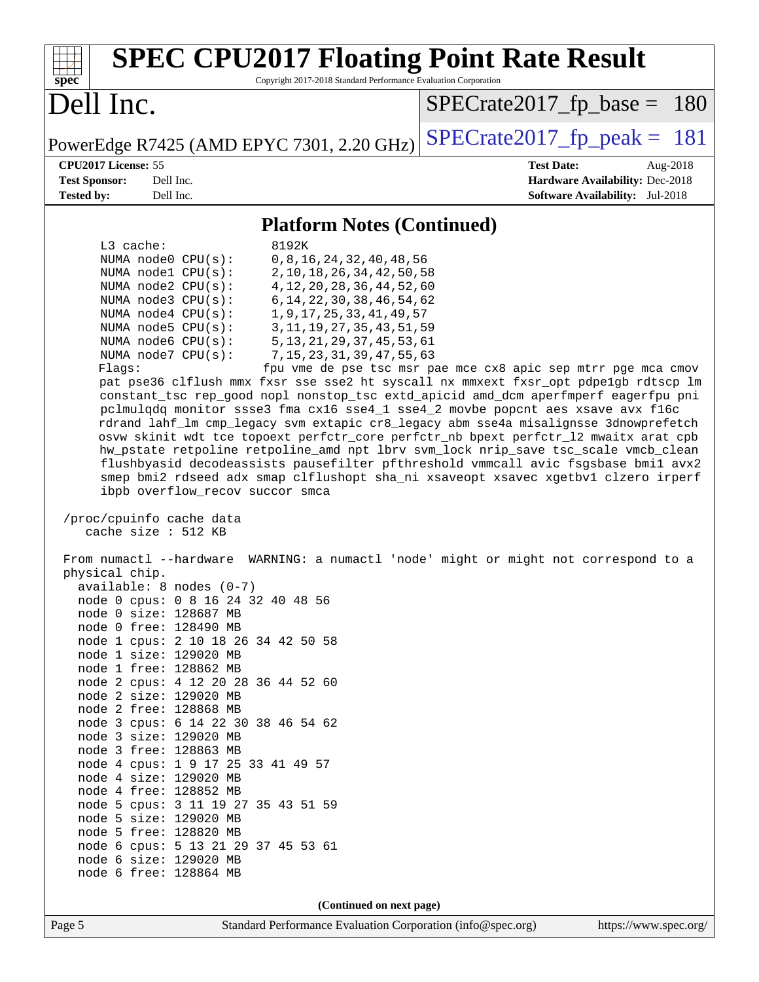| <b>SPEC CPU2017 Floating Point Rate Result</b><br>Copyright 2017-2018 Standard Performance Evaluation Corporation<br>spec                                                                                                                                                                                                                                                                                                                                                                                                                                                                                                                                                                                                                                                                                                                                                                                                                                                                                                                                                                                                                                                                                                                                                                                                                                                                                                                                                                                                                                                                                                                                                                                                                                                                                                                                                                                                                                 |                                                                                                            |
|-----------------------------------------------------------------------------------------------------------------------------------------------------------------------------------------------------------------------------------------------------------------------------------------------------------------------------------------------------------------------------------------------------------------------------------------------------------------------------------------------------------------------------------------------------------------------------------------------------------------------------------------------------------------------------------------------------------------------------------------------------------------------------------------------------------------------------------------------------------------------------------------------------------------------------------------------------------------------------------------------------------------------------------------------------------------------------------------------------------------------------------------------------------------------------------------------------------------------------------------------------------------------------------------------------------------------------------------------------------------------------------------------------------------------------------------------------------------------------------------------------------------------------------------------------------------------------------------------------------------------------------------------------------------------------------------------------------------------------------------------------------------------------------------------------------------------------------------------------------------------------------------------------------------------------------------------------------|------------------------------------------------------------------------------------------------------------|
| Dell Inc.                                                                                                                                                                                                                                                                                                                                                                                                                                                                                                                                                                                                                                                                                                                                                                                                                                                                                                                                                                                                                                                                                                                                                                                                                                                                                                                                                                                                                                                                                                                                                                                                                                                                                                                                                                                                                                                                                                                                                 | $SPECrate2017_fp\_base =$<br>180                                                                           |
| PowerEdge R7425 (AMD EPYC 7301, 2.20 GHz)                                                                                                                                                                                                                                                                                                                                                                                                                                                                                                                                                                                                                                                                                                                                                                                                                                                                                                                                                                                                                                                                                                                                                                                                                                                                                                                                                                                                                                                                                                                                                                                                                                                                                                                                                                                                                                                                                                                 | $SPECrate2017_fp\_peak = 181$                                                                              |
| CPU2017 License: 55<br><b>Test Sponsor:</b><br>Dell Inc.<br><b>Tested by:</b><br>Dell Inc.                                                                                                                                                                                                                                                                                                                                                                                                                                                                                                                                                                                                                                                                                                                                                                                                                                                                                                                                                                                                                                                                                                                                                                                                                                                                                                                                                                                                                                                                                                                                                                                                                                                                                                                                                                                                                                                                | <b>Test Date:</b><br>Aug-2018<br>Hardware Availability: Dec-2018<br><b>Software Availability:</b> Jul-2018 |
| <b>Platform Notes (Continued)</b>                                                                                                                                                                                                                                                                                                                                                                                                                                                                                                                                                                                                                                                                                                                                                                                                                                                                                                                                                                                                                                                                                                                                                                                                                                                                                                                                                                                                                                                                                                                                                                                                                                                                                                                                                                                                                                                                                                                         |                                                                                                            |
| L3 cache:<br>8192K                                                                                                                                                                                                                                                                                                                                                                                                                                                                                                                                                                                                                                                                                                                                                                                                                                                                                                                                                                                                                                                                                                                                                                                                                                                                                                                                                                                                                                                                                                                                                                                                                                                                                                                                                                                                                                                                                                                                        |                                                                                                            |
| NUMA node0 CPU(s):<br>0, 8, 16, 24, 32, 40, 48, 56<br>NUMA nodel CPU(s):<br>2, 10, 18, 26, 34, 42, 50, 58<br>4, 12, 20, 28, 36, 44, 52, 60<br>NUMA node2 CPU(s):<br>NUMA $node3$ $CPU(s)$ :<br>6, 14, 22, 30, 38, 46, 54, 62<br>NUMA $node4$ $CPU(s)$ :<br>1, 9, 17, 25, 33, 41, 49, 57<br>NUMA node5 CPU(s):<br>3, 11, 19, 27, 35, 43, 51, 59<br>NUMA node6 CPU(s):<br>5, 13, 21, 29, 37, 45, 53, 61<br>NUMA node7 CPU(s):<br>7, 15, 23, 31, 39, 47, 55, 63<br>Flags:<br>pat pse36 clflush mmx fxsr sse sse2 ht syscall nx mmxext fxsr_opt pdpe1gb rdtscp lm<br>constant_tsc rep_good nopl nonstop_tsc extd_apicid amd_dcm aperfmperf eagerfpu pni<br>pclmulqdq monitor ssse3 fma cx16 sse4_1 sse4_2 movbe popcnt aes xsave avx f16c<br>rdrand lahf_lm cmp_legacy svm extapic cr8_legacy abm sse4a misalignsse 3dnowprefetch<br>osvw skinit wdt tce topoext perfctr_core perfctr_nb bpext perfctr_12 mwaitx arat cpb<br>hw_pstate retpoline retpoline_amd npt lbrv svm_lock nrip_save tsc_scale vmcb_clean<br>flushbyasid decodeassists pausefilter pfthreshold vmmcall avic fsgsbase bmil avx2<br>smep bmi2 rdseed adx smap clflushopt sha_ni xsaveopt xsavec xgetbvl clzero irperf<br>ibpb overflow_recov succor smca<br>/proc/cpuinfo cache data<br>cache size : 512 KB<br>From numactl --hardware WARNING: a numactl 'node' might or might not correspond to a<br>physical chip.<br>$available: 8 nodes (0-7)$<br>node 0 cpus: 0 8 16 24 32 40 48 56<br>node 0 size: 128687 MB<br>node 0 free: 128490 MB<br>node 1 cpus: 2 10 18 26 34 42 50 58<br>node 1 size: 129020 MB<br>node 1 free: 128862 MB<br>node 2 cpus: 4 12 20 28 36 44 52 60<br>node 2 size: 129020 MB<br>node 2 free: 128868 MB<br>node 3 cpus: 6 14 22 30 38 46 54 62<br>node 3 size: 129020 MB<br>node 3 free: 128863 MB<br>node 4 cpus: 1 9 17 25 33 41 49 57<br>node 4 size: 129020 MB<br>node 4 free: 128852 MB<br>node 5 cpus: 3 11 19 27 35 43 51 59<br>node 5 size: 129020 MB | fpu vme de pse tsc msr pae mce cx8 apic sep mtrr pge mca cmov                                              |
| node 5 free: 128820 MB<br>node 6 cpus: 5 13 21 29 37 45 53 61                                                                                                                                                                                                                                                                                                                                                                                                                                                                                                                                                                                                                                                                                                                                                                                                                                                                                                                                                                                                                                                                                                                                                                                                                                                                                                                                                                                                                                                                                                                                                                                                                                                                                                                                                                                                                                                                                             |                                                                                                            |
| node 6 size: 129020 MB<br>node 6 free: 128864 MB                                                                                                                                                                                                                                                                                                                                                                                                                                                                                                                                                                                                                                                                                                                                                                                                                                                                                                                                                                                                                                                                                                                                                                                                                                                                                                                                                                                                                                                                                                                                                                                                                                                                                                                                                                                                                                                                                                          |                                                                                                            |
| (Continued on next page)                                                                                                                                                                                                                                                                                                                                                                                                                                                                                                                                                                                                                                                                                                                                                                                                                                                                                                                                                                                                                                                                                                                                                                                                                                                                                                                                                                                                                                                                                                                                                                                                                                                                                                                                                                                                                                                                                                                                  |                                                                                                            |
| Standard Performance Evaluation Corporation (info@spec.org)<br>Page 5                                                                                                                                                                                                                                                                                                                                                                                                                                                                                                                                                                                                                                                                                                                                                                                                                                                                                                                                                                                                                                                                                                                                                                                                                                                                                                                                                                                                                                                                                                                                                                                                                                                                                                                                                                                                                                                                                     | https://www.spec.org/                                                                                      |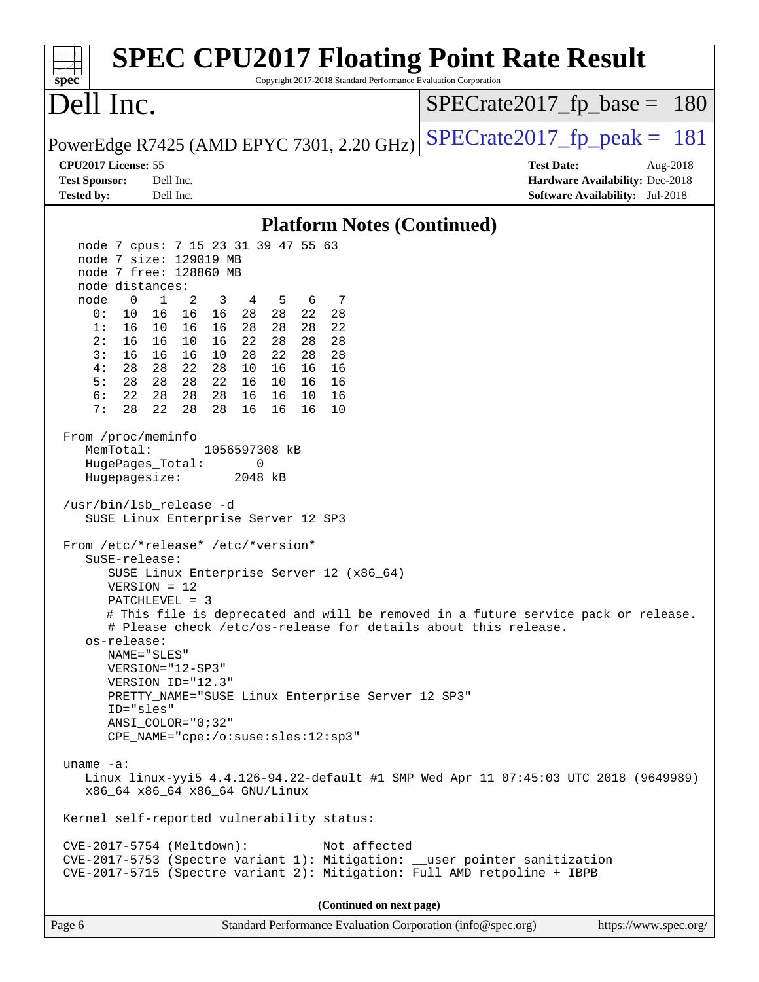| <b>SPEC CPU2017 Floating Point Rate Result</b><br>Copyright 2017-2018 Standard Performance Evaluation Corporation<br>spec <sup>®</sup>                                                                                                                                                                                                                                                                                                                                                                                                                                                                                                                                                                                                                                                                                                                                                                                                                                                                                                                                                                                                                                                                                                                                                                                                                                                                                                                                                                                                                                                                                                                                                |                                                                                                               |
|---------------------------------------------------------------------------------------------------------------------------------------------------------------------------------------------------------------------------------------------------------------------------------------------------------------------------------------------------------------------------------------------------------------------------------------------------------------------------------------------------------------------------------------------------------------------------------------------------------------------------------------------------------------------------------------------------------------------------------------------------------------------------------------------------------------------------------------------------------------------------------------------------------------------------------------------------------------------------------------------------------------------------------------------------------------------------------------------------------------------------------------------------------------------------------------------------------------------------------------------------------------------------------------------------------------------------------------------------------------------------------------------------------------------------------------------------------------------------------------------------------------------------------------------------------------------------------------------------------------------------------------------------------------------------------------|---------------------------------------------------------------------------------------------------------------|
| Dell Inc.                                                                                                                                                                                                                                                                                                                                                                                                                                                                                                                                                                                                                                                                                                                                                                                                                                                                                                                                                                                                                                                                                                                                                                                                                                                                                                                                                                                                                                                                                                                                                                                                                                                                             | $SPECrate2017_fp\_base = 180$                                                                                 |
| PowerEdge R7425 (AMD EPYC 7301, 2.20 GHz)                                                                                                                                                                                                                                                                                                                                                                                                                                                                                                                                                                                                                                                                                                                                                                                                                                                                                                                                                                                                                                                                                                                                                                                                                                                                                                                                                                                                                                                                                                                                                                                                                                             | $SPECTate2017$ _fp_peak = 181                                                                                 |
| CPU2017 License: 55<br><b>Test Sponsor:</b><br>Dell Inc.<br>Dell Inc.<br><b>Tested by:</b>                                                                                                                                                                                                                                                                                                                                                                                                                                                                                                                                                                                                                                                                                                                                                                                                                                                                                                                                                                                                                                                                                                                                                                                                                                                                                                                                                                                                                                                                                                                                                                                            | <b>Test Date:</b><br>Aug- $2018$<br>Hardware Availability: Dec-2018<br><b>Software Availability:</b> Jul-2018 |
| <b>Platform Notes (Continued)</b>                                                                                                                                                                                                                                                                                                                                                                                                                                                                                                                                                                                                                                                                                                                                                                                                                                                                                                                                                                                                                                                                                                                                                                                                                                                                                                                                                                                                                                                                                                                                                                                                                                                     |                                                                                                               |
| node 7 cpus: 7 15 23 31 39 47 55 63<br>node 7 size: 129019 MB<br>node 7 free: 128860 MB<br>node distances:<br>$\mathbf 0$<br>2<br>node<br>1<br>3<br>4<br>5<br>6<br>7<br>0:<br>10<br>16 16<br>16<br>28 28<br>22<br>28<br>1:<br>16<br>10 16<br>28<br>28<br>22<br>16<br>28<br>16<br>28<br>2:<br>16<br>10<br>16<br>22<br>28<br>28<br>16<br>10<br>22<br>28<br>28<br>3:<br>16<br>16<br>28<br>4:<br>28<br>22<br>28<br>28<br>10<br>16<br>16<br>16<br>28 28 22<br>5:<br>28<br>16 10 16<br>16<br>6:<br>22<br>28<br>28<br>28<br>16<br>16<br>10<br>16<br>7:<br>28<br>22<br>28<br>28<br>16<br>16<br>16<br>10<br>From /proc/meminfo<br>MemTotal:<br>1056597308 kB<br>HugePages_Total:<br>0<br>Hugepagesize:<br>2048 kB<br>/usr/bin/lsb_release -d<br>SUSE Linux Enterprise Server 12 SP3<br>From /etc/*release* /etc/*version*<br>$S$ uSE-release:<br>SUSE Linux Enterprise Server 12 (x86_64)<br>$VERSION = 12$<br>PATCHLEVEL = 3<br># This file is deprecated and will be removed in a future service pack or release.<br># Please check /etc/os-release for details about this release.<br>os-release:<br>NAME="SLES"<br>VERSION="12-SP3"<br>VERSION_ID="12.3"<br>PRETTY_NAME="SUSE Linux Enterprise Server 12 SP3"<br>ID="sles"<br>$ANSI\_COLOR = "0; 32"$<br>CPE_NAME="cpe:/o:suse:sles:12:sp3"<br>uname $-a$ :<br>Linux linux-yyi5 4.4.126-94.22-default #1 SMP Wed Apr 11 07:45:03 UTC 2018 (9649989)<br>x86_64 x86_64 x86_64 GNU/Linux<br>Kernel self-reported vulnerability status:<br>CVE-2017-5754 (Meltdown):<br>Not affected<br>CVE-2017-5753 (Spectre variant 1): Mitigation: __user pointer sanitization<br>CVE-2017-5715 (Spectre variant 2): Mitigation: Full AMD retpoline + IBPB |                                                                                                               |
| (Continued on next page)                                                                                                                                                                                                                                                                                                                                                                                                                                                                                                                                                                                                                                                                                                                                                                                                                                                                                                                                                                                                                                                                                                                                                                                                                                                                                                                                                                                                                                                                                                                                                                                                                                                              |                                                                                                               |
| Page 6<br>Standard Performance Evaluation Corporation (info@spec.org)                                                                                                                                                                                                                                                                                                                                                                                                                                                                                                                                                                                                                                                                                                                                                                                                                                                                                                                                                                                                                                                                                                                                                                                                                                                                                                                                                                                                                                                                                                                                                                                                                 | https://www.spec.org/                                                                                         |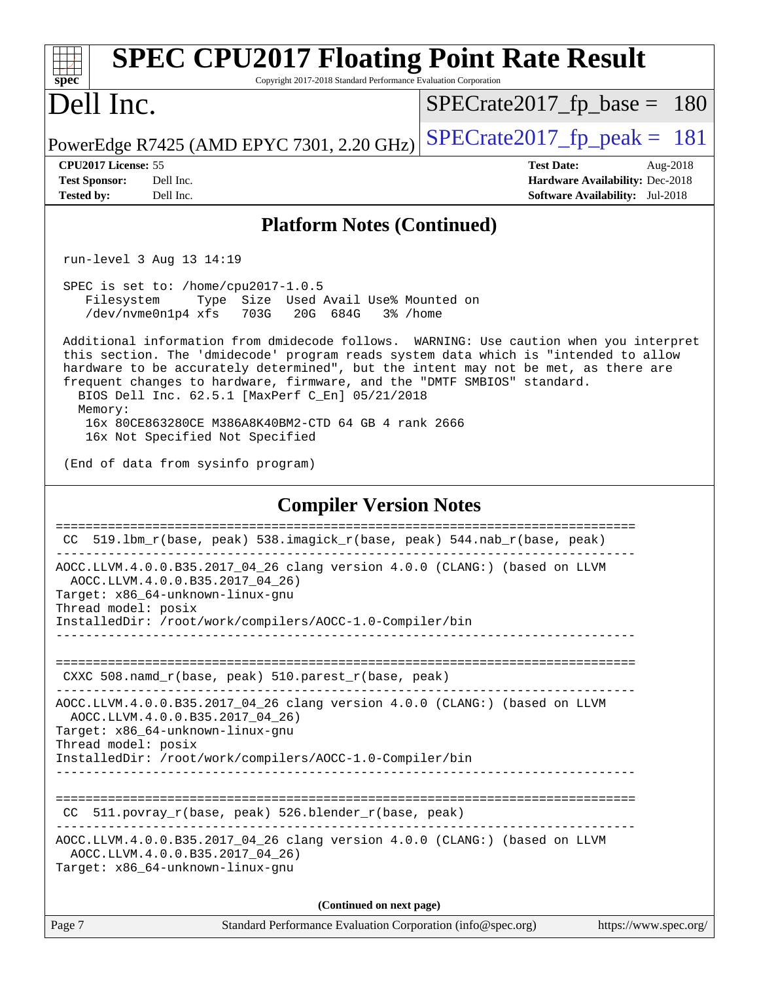| <b>SPEC CPU2017 Floating Point Rate Result</b><br>Copyright 2017-2018 Standard Performance Evaluation Corporation<br>spec <sup>®</sup>                                                                                                                                                                                                                                                                       |                                                                                                            |  |  |  |
|--------------------------------------------------------------------------------------------------------------------------------------------------------------------------------------------------------------------------------------------------------------------------------------------------------------------------------------------------------------------------------------------------------------|------------------------------------------------------------------------------------------------------------|--|--|--|
| Dell Inc.                                                                                                                                                                                                                                                                                                                                                                                                    | $SPECTate2017fr base = 180$                                                                                |  |  |  |
| PowerEdge R7425 (AMD EPYC 7301, 2.20 GHz)                                                                                                                                                                                                                                                                                                                                                                    | $SPECTate2017$ _fp_peak = 181                                                                              |  |  |  |
| CPU2017 License: 55<br><b>Test Sponsor:</b><br>Dell Inc.<br>Dell Inc.<br><b>Tested by:</b>                                                                                                                                                                                                                                                                                                                   | <b>Test Date:</b><br>Aug-2018<br>Hardware Availability: Dec-2018<br><b>Software Availability:</b> Jul-2018 |  |  |  |
| <b>Platform Notes (Continued)</b>                                                                                                                                                                                                                                                                                                                                                                            |                                                                                                            |  |  |  |
| run-level 3 Aug 13 14:19                                                                                                                                                                                                                                                                                                                                                                                     |                                                                                                            |  |  |  |
| SPEC is set to: /home/cpu2017-1.0.5<br>Type Size Used Avail Use% Mounted on<br>Filesystem<br>/dev/nvme0n1p4 xfs 703G<br>20G 684G<br>3% /home                                                                                                                                                                                                                                                                 |                                                                                                            |  |  |  |
| Additional information from dmidecode follows. WARNING: Use caution when you interpret<br>this section. The 'dmidecode' program reads system data which is "intended to allow<br>hardware to be accurately determined", but the intent may not be met, as there are<br>frequent changes to hardware, firmware, and the "DMTF SMBIOS" standard.<br>BIOS Dell Inc. 62.5.1 [MaxPerf C_En] 05/21/2018<br>Memory: |                                                                                                            |  |  |  |
| 16x 80CE863280CE M386A8K40BM2-CTD 64 GB 4 rank 2666<br>16x Not Specified Not Specified                                                                                                                                                                                                                                                                                                                       |                                                                                                            |  |  |  |
| (End of data from sysinfo program)                                                                                                                                                                                                                                                                                                                                                                           |                                                                                                            |  |  |  |
| <b>Compiler Version Notes</b>                                                                                                                                                                                                                                                                                                                                                                                |                                                                                                            |  |  |  |
| CC 519.1bm_r(base, peak) 538.imagick_r(base, peak) 544.nab_r(base, peak)                                                                                                                                                                                                                                                                                                                                     |                                                                                                            |  |  |  |
| AOCC.LLVM.4.0.0.B35.2017_04_26 clang version 4.0.0 (CLANG:) (based on LLVM<br>AOCC.LLVM.4.0.0.B35.2017_04_26)<br>Target: x86_64-unknown-linux-gnu<br>Thread model: posix<br>InstalledDir: /root/work/compilers/AOCC-1.0-Compiler/bin                                                                                                                                                                         |                                                                                                            |  |  |  |
| CXXC 508.namd_r(base, peak) 510.parest_r(base, peak)                                                                                                                                                                                                                                                                                                                                                         |                                                                                                            |  |  |  |
| AOCC.LLVM.4.0.0.B35.2017_04_26 clang version 4.0.0 (CLANG:) (based on LLVM<br>AOCC.LLVM.4.0.0.B35.2017_04_26)<br>Target: x86_64-unknown-linux-gnu<br>Thread model: posix                                                                                                                                                                                                                                     |                                                                                                            |  |  |  |
| InstalledDir: /root/work/compilers/AOCC-1.0-Compiler/bin                                                                                                                                                                                                                                                                                                                                                     |                                                                                                            |  |  |  |
| CC 511.povray_r(base, peak) 526.blender_r(base, peak)                                                                                                                                                                                                                                                                                                                                                        |                                                                                                            |  |  |  |
| AOCC.LLVM.4.0.0.B35.2017_04_26 clang version 4.0.0 (CLANG:) (based on LLVM<br>AOCC.LLVM.4.0.0.B35.2017_04_26)<br>Target: x86_64-unknown-linux-gnu                                                                                                                                                                                                                                                            |                                                                                                            |  |  |  |
| (Continued on next page)                                                                                                                                                                                                                                                                                                                                                                                     |                                                                                                            |  |  |  |
| Page 7<br>Standard Performance Evaluation Corporation (info@spec.org)                                                                                                                                                                                                                                                                                                                                        | https://www.spec.org/                                                                                      |  |  |  |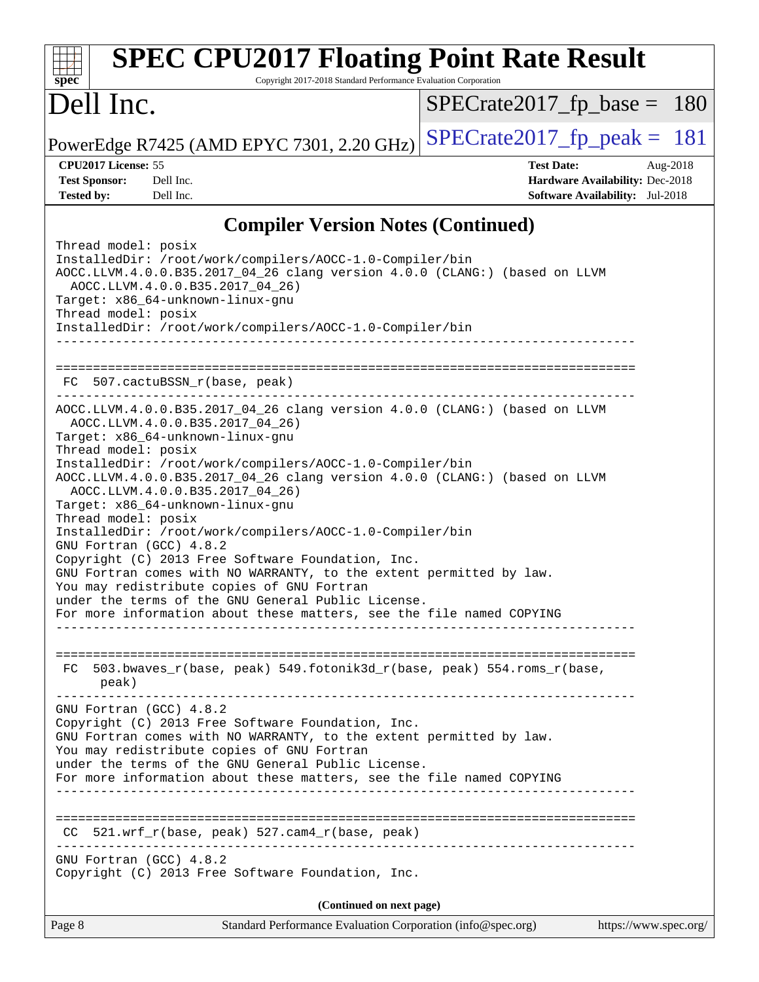| <b>SPEC CPU2017 Floating Point Rate Result</b><br>Copyright 2017-2018 Standard Performance Evaluation Corporation<br>$spec^*$                                                                                                                                                                                                                                                                                                                                                                                                                                                                                                                                                                                                                                                                                                                                                                                                            |                                                                                                     |
|------------------------------------------------------------------------------------------------------------------------------------------------------------------------------------------------------------------------------------------------------------------------------------------------------------------------------------------------------------------------------------------------------------------------------------------------------------------------------------------------------------------------------------------------------------------------------------------------------------------------------------------------------------------------------------------------------------------------------------------------------------------------------------------------------------------------------------------------------------------------------------------------------------------------------------------|-----------------------------------------------------------------------------------------------------|
| Dell Inc.                                                                                                                                                                                                                                                                                                                                                                                                                                                                                                                                                                                                                                                                                                                                                                                                                                                                                                                                | $SPECrate2017_fp\_base = 180$                                                                       |
| PowerEdge R7425 (AMD EPYC 7301, 2.20 GHz)                                                                                                                                                                                                                                                                                                                                                                                                                                                                                                                                                                                                                                                                                                                                                                                                                                                                                                | $SPECrate2017_fp\_peak = 181$                                                                       |
| CPU2017 License: 55<br><b>Test Sponsor:</b><br>Dell Inc.<br><b>Tested by:</b><br>Dell Inc.                                                                                                                                                                                                                                                                                                                                                                                                                                                                                                                                                                                                                                                                                                                                                                                                                                               | <b>Test Date:</b><br>Aug-2018<br>Hardware Availability: Dec-2018<br>Software Availability: Jul-2018 |
| <b>Compiler Version Notes (Continued)</b>                                                                                                                                                                                                                                                                                                                                                                                                                                                                                                                                                                                                                                                                                                                                                                                                                                                                                                |                                                                                                     |
| Thread model: posix<br>InstalledDir: /root/work/compilers/AOCC-1.0-Compiler/bin<br>AOCC.LLVM.4.0.0.B35.2017_04_26 clang version 4.0.0 (CLANG:) (based on LLVM<br>AOCC.LLVM.4.0.0.B35.2017_04_26)<br>Target: x86_64-unknown-linux-gnu<br>Thread model: posix<br>InstalledDir: /root/work/compilers/AOCC-1.0-Compiler/bin                                                                                                                                                                                                                                                                                                                                                                                                                                                                                                                                                                                                                  |                                                                                                     |
| FC 507.cactuBSSN_r(base, peak)                                                                                                                                                                                                                                                                                                                                                                                                                                                                                                                                                                                                                                                                                                                                                                                                                                                                                                           |                                                                                                     |
| AOCC.LLVM.4.0.0.B35.2017_04_26 clang version 4.0.0 (CLANG:) (based on LLVM<br>AOCC.LLVM.4.0.0.B35.2017_04_26)<br>Target: x86_64-unknown-linux-gnu<br>Thread model: posix<br>InstalledDir: /root/work/compilers/AOCC-1.0-Compiler/bin<br>AOCC.LLVM.4.0.0.B35.2017_04_26 clang version 4.0.0 (CLANG:) (based on LLVM<br>AOCC.LLVM.4.0.0.B35.2017_04_26)<br>Target: x86_64-unknown-linux-gnu<br>Thread model: posix<br>InstalledDir: /root/work/compilers/AOCC-1.0-Compiler/bin<br>GNU Fortran (GCC) 4.8.2<br>Copyright (C) 2013 Free Software Foundation, Inc.<br>GNU Fortran comes with NO WARRANTY, to the extent permitted by law.<br>You may redistribute copies of GNU Fortran<br>under the terms of the GNU General Public License.<br>For more information about these matters, see the file named COPYING<br>________________________________<br>FC 503.bwaves_r(base, peak) 549.fotonik3d_r(base, peak) 554.roms_r(base,<br>peak) |                                                                                                     |
| GNU Fortran (GCC) 4.8.2<br>Copyright (C) 2013 Free Software Foundation, Inc.<br>GNU Fortran comes with NO WARRANTY, to the extent permitted by law.<br>You may redistribute copies of GNU Fortran<br>under the terms of the GNU General Public License.<br>For more information about these matters, see the file named COPYING                                                                                                                                                                                                                                                                                                                                                                                                                                                                                                                                                                                                          |                                                                                                     |
| $CC$ 521.wrf_r(base, peak) 527.cam4_r(base, peak)                                                                                                                                                                                                                                                                                                                                                                                                                                                                                                                                                                                                                                                                                                                                                                                                                                                                                        |                                                                                                     |
| GNU Fortran (GCC) 4.8.2<br>Copyright (C) 2013 Free Software Foundation, Inc.                                                                                                                                                                                                                                                                                                                                                                                                                                                                                                                                                                                                                                                                                                                                                                                                                                                             |                                                                                                     |
| (Continued on next page)                                                                                                                                                                                                                                                                                                                                                                                                                                                                                                                                                                                                                                                                                                                                                                                                                                                                                                                 |                                                                                                     |
| Page 8<br>Standard Performance Evaluation Corporation (info@spec.org)                                                                                                                                                                                                                                                                                                                                                                                                                                                                                                                                                                                                                                                                                                                                                                                                                                                                    | https://www.spec.org/                                                                               |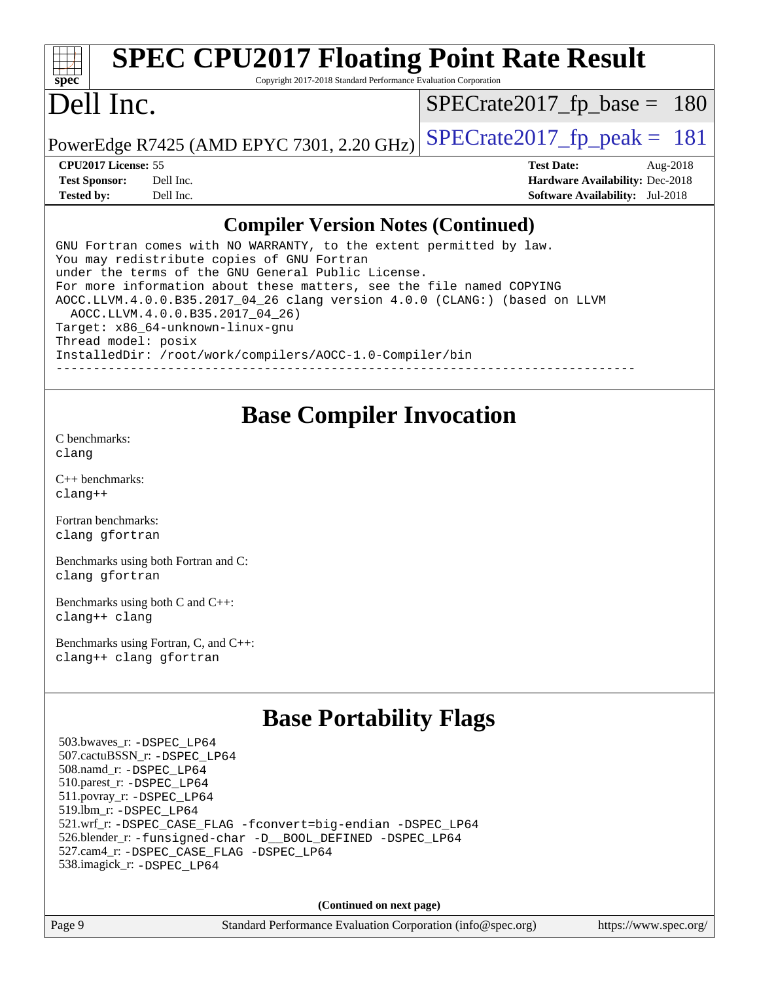#### **[spec](http://www.spec.org/) [SPEC CPU2017 Floating Point Rate Result](http://www.spec.org/auto/cpu2017/Docs/result-fields.html#SPECCPU2017FloatingPointRateResult)** Copyright 2017-2018 Standard Performance Evaluation Corporation Dell Inc. PowerEdge R7425 (AMD EPYC 7301, 2.20 GHz)  $\left|$  [SPECrate2017\\_fp\\_peak =](http://www.spec.org/auto/cpu2017/Docs/result-fields.html#SPECrate2017fppeak) 181 [SPECrate2017\\_fp\\_base =](http://www.spec.org/auto/cpu2017/Docs/result-fields.html#SPECrate2017fpbase) 180 **[CPU2017 License:](http://www.spec.org/auto/cpu2017/Docs/result-fields.html#CPU2017License)** 55 **[Test Date:](http://www.spec.org/auto/cpu2017/Docs/result-fields.html#TestDate)** Aug-2018 **[Test Sponsor:](http://www.spec.org/auto/cpu2017/Docs/result-fields.html#TestSponsor)** Dell Inc. **[Hardware Availability:](http://www.spec.org/auto/cpu2017/Docs/result-fields.html#HardwareAvailability)** Dec-2018 **[Tested by:](http://www.spec.org/auto/cpu2017/Docs/result-fields.html#Testedby)** Dell Inc. **[Software Availability:](http://www.spec.org/auto/cpu2017/Docs/result-fields.html#SoftwareAvailability)** Jul-2018 **[Compiler Version Notes \(Continued\)](http://www.spec.org/auto/cpu2017/Docs/result-fields.html#CompilerVersionNotes)**

GNU Fortran comes with NO WARRANTY, to the extent permitted by law. You may redistribute copies of GNU Fortran under the terms of the GNU General Public License. For more information about these matters, see the file named COPYING AOCC.LLVM.4.0.0.B35.2017\_04\_26 clang version 4.0.0 (CLANG:) (based on LLVM AOCC.LLVM.4.0.0.B35.2017\_04\_26) Target: x86\_64-unknown-linux-gnu Thread model: posix InstalledDir: /root/work/compilers/AOCC-1.0-Compiler/bin ------------------------------------------------------------------------------

## **[Base Compiler Invocation](http://www.spec.org/auto/cpu2017/Docs/result-fields.html#BaseCompilerInvocation)**

[C benchmarks](http://www.spec.org/auto/cpu2017/Docs/result-fields.html#Cbenchmarks): [clang](http://www.spec.org/cpu2017/results/res2018q4/cpu2017-20181029-09371.flags.html#user_CCbase_Fclang3_a68b77bfed473bd9cdd22529af008e8306c2e3948617c8991604c1a2000ee4a73ef90dd8bc793e105fe4165a625d26dacbda4708d828ad19048918c071b363ec)

[C++ benchmarks:](http://www.spec.org/auto/cpu2017/Docs/result-fields.html#CXXbenchmarks) [clang++](http://www.spec.org/cpu2017/results/res2018q4/cpu2017-20181029-09371.flags.html#user_CXXbase_Fclang3_57a48582e5be507d19b2527b3e7d4f85d9b8669ffc9a8a0dbb9bcf949a918a58bbab411e0c4d14a3922022a3e425a90db94042683824c1806feff4324ca1000d)

[Fortran benchmarks](http://www.spec.org/auto/cpu2017/Docs/result-fields.html#Fortranbenchmarks): [clang](http://www.spec.org/cpu2017/results/res2018q4/cpu2017-20181029-09371.flags.html#user_FCbase_Fclang3_a68b77bfed473bd9cdd22529af008e8306c2e3948617c8991604c1a2000ee4a73ef90dd8bc793e105fe4165a625d26dacbda4708d828ad19048918c071b363ec) [gfortran](http://www.spec.org/cpu2017/results/res2018q4/cpu2017-20181029-09371.flags.html#user_FCbase_aocc-gfortran_128c91a56d61ddb07404721e65b8f9498c31a443dacbd3b7f212891090eca86e2d099b520f75b99e9e8ac4fdec01f4d15f0b65e47123ec4c42b0759045731a1f)

[Benchmarks using both Fortran and C](http://www.spec.org/auto/cpu2017/Docs/result-fields.html#BenchmarksusingbothFortranandC): [clang](http://www.spec.org/cpu2017/results/res2018q4/cpu2017-20181029-09371.flags.html#user_CC_FCbase_Fclang3_a68b77bfed473bd9cdd22529af008e8306c2e3948617c8991604c1a2000ee4a73ef90dd8bc793e105fe4165a625d26dacbda4708d828ad19048918c071b363ec) [gfortran](http://www.spec.org/cpu2017/results/res2018q4/cpu2017-20181029-09371.flags.html#user_CC_FCbase_aocc-gfortran_128c91a56d61ddb07404721e65b8f9498c31a443dacbd3b7f212891090eca86e2d099b520f75b99e9e8ac4fdec01f4d15f0b65e47123ec4c42b0759045731a1f)

[Benchmarks using both C and C++](http://www.spec.org/auto/cpu2017/Docs/result-fields.html#BenchmarksusingbothCandCXX): [clang++](http://www.spec.org/cpu2017/results/res2018q4/cpu2017-20181029-09371.flags.html#user_CC_CXXbase_Fclang3_57a48582e5be507d19b2527b3e7d4f85d9b8669ffc9a8a0dbb9bcf949a918a58bbab411e0c4d14a3922022a3e425a90db94042683824c1806feff4324ca1000d) [clang](http://www.spec.org/cpu2017/results/res2018q4/cpu2017-20181029-09371.flags.html#user_CC_CXXbase_Fclang3_a68b77bfed473bd9cdd22529af008e8306c2e3948617c8991604c1a2000ee4a73ef90dd8bc793e105fe4165a625d26dacbda4708d828ad19048918c071b363ec)

[Benchmarks using Fortran, C, and C++:](http://www.spec.org/auto/cpu2017/Docs/result-fields.html#BenchmarksusingFortranCandCXX) [clang++](http://www.spec.org/cpu2017/results/res2018q4/cpu2017-20181029-09371.flags.html#user_CC_CXX_FCbase_Fclang3_57a48582e5be507d19b2527b3e7d4f85d9b8669ffc9a8a0dbb9bcf949a918a58bbab411e0c4d14a3922022a3e425a90db94042683824c1806feff4324ca1000d) [clang](http://www.spec.org/cpu2017/results/res2018q4/cpu2017-20181029-09371.flags.html#user_CC_CXX_FCbase_Fclang3_a68b77bfed473bd9cdd22529af008e8306c2e3948617c8991604c1a2000ee4a73ef90dd8bc793e105fe4165a625d26dacbda4708d828ad19048918c071b363ec) [gfortran](http://www.spec.org/cpu2017/results/res2018q4/cpu2017-20181029-09371.flags.html#user_CC_CXX_FCbase_aocc-gfortran_128c91a56d61ddb07404721e65b8f9498c31a443dacbd3b7f212891090eca86e2d099b520f75b99e9e8ac4fdec01f4d15f0b65e47123ec4c42b0759045731a1f)

## **[Base Portability Flags](http://www.spec.org/auto/cpu2017/Docs/result-fields.html#BasePortabilityFlags)**

 503.bwaves\_r: [-DSPEC\\_LP64](http://www.spec.org/cpu2017/results/res2018q4/cpu2017-20181029-09371.flags.html#suite_baseEXTRA_PORTABILITY503_bwaves_r_DSPEC_LP64) 507.cactuBSSN\_r: [-DSPEC\\_LP64](http://www.spec.org/cpu2017/results/res2018q4/cpu2017-20181029-09371.flags.html#suite_baseEXTRA_PORTABILITY507_cactuBSSN_r_DSPEC_LP64) 508.namd\_r: [-DSPEC\\_LP64](http://www.spec.org/cpu2017/results/res2018q4/cpu2017-20181029-09371.flags.html#suite_baseEXTRA_PORTABILITY508_namd_r_DSPEC_LP64) 510.parest\_r: [-DSPEC\\_LP64](http://www.spec.org/cpu2017/results/res2018q4/cpu2017-20181029-09371.flags.html#suite_baseEXTRA_PORTABILITY510_parest_r_DSPEC_LP64) 511.povray\_r: [-DSPEC\\_LP64](http://www.spec.org/cpu2017/results/res2018q4/cpu2017-20181029-09371.flags.html#suite_baseEXTRA_PORTABILITY511_povray_r_DSPEC_LP64) 519.lbm\_r: [-DSPEC\\_LP64](http://www.spec.org/cpu2017/results/res2018q4/cpu2017-20181029-09371.flags.html#suite_baseEXTRA_PORTABILITY519_lbm_r_DSPEC_LP64) 521.wrf\_r: [-DSPEC\\_CASE\\_FLAG](http://www.spec.org/cpu2017/results/res2018q4/cpu2017-20181029-09371.flags.html#b521.wrf_r_baseCPORTABILITY_DSPEC_CASE_FLAG) [-fconvert=big-endian](http://www.spec.org/cpu2017/results/res2018q4/cpu2017-20181029-09371.flags.html#user_baseFPORTABILITY521_wrf_r_F-fconvert) [-DSPEC\\_LP64](http://www.spec.org/cpu2017/results/res2018q4/cpu2017-20181029-09371.flags.html#suite_baseEXTRA_PORTABILITY521_wrf_r_DSPEC_LP64) 526.blender\_r: [-funsigned-char](http://www.spec.org/cpu2017/results/res2018q4/cpu2017-20181029-09371.flags.html#user_baseCPORTABILITY526_blender_r_F-funsigned-char) [-D\\_\\_BOOL\\_DEFINED](http://www.spec.org/cpu2017/results/res2018q4/cpu2017-20181029-09371.flags.html#b526.blender_r_baseCXXPORTABILITY_D__BOOL_DEFINED) [-DSPEC\\_LP64](http://www.spec.org/cpu2017/results/res2018q4/cpu2017-20181029-09371.flags.html#suite_baseEXTRA_PORTABILITY526_blender_r_DSPEC_LP64) 527.cam4\_r: [-DSPEC\\_CASE\\_FLAG](http://www.spec.org/cpu2017/results/res2018q4/cpu2017-20181029-09371.flags.html#b527.cam4_r_basePORTABILITY_DSPEC_CASE_FLAG) [-DSPEC\\_LP64](http://www.spec.org/cpu2017/results/res2018q4/cpu2017-20181029-09371.flags.html#suite_baseEXTRA_PORTABILITY527_cam4_r_DSPEC_LP64) 538.imagick\_r: [-DSPEC\\_LP64](http://www.spec.org/cpu2017/results/res2018q4/cpu2017-20181029-09371.flags.html#suite_baseEXTRA_PORTABILITY538_imagick_r_DSPEC_LP64)

**(Continued on next page)**

Page 9 Standard Performance Evaluation Corporation [\(info@spec.org\)](mailto:info@spec.org) <https://www.spec.org/>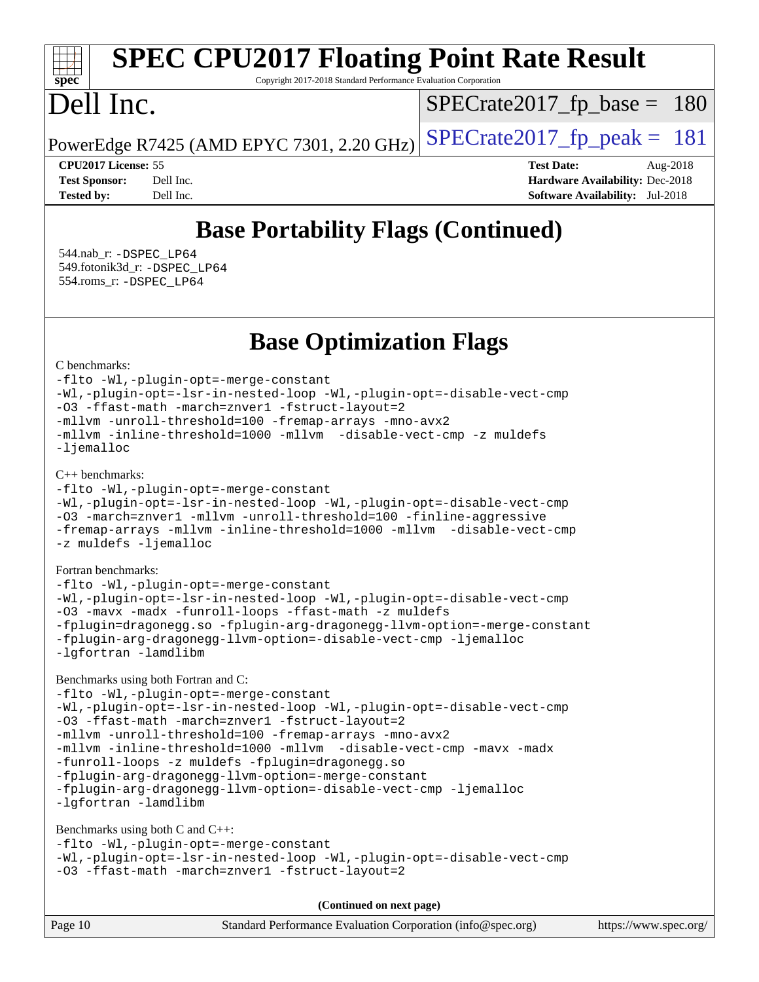# **[spec](http://www.spec.org/)**

# **[SPEC CPU2017 Floating Point Rate Result](http://www.spec.org/auto/cpu2017/Docs/result-fields.html#SPECCPU2017FloatingPointRateResult)**

Copyright 2017-2018 Standard Performance Evaluation Corporation

# Dell Inc.

[SPECrate2017\\_fp\\_base =](http://www.spec.org/auto/cpu2017/Docs/result-fields.html#SPECrate2017fpbase) 180

PowerEdge R7425 (AMD EPYC 7301, 2.20 GHz)  $\left|$  [SPECrate2017\\_fp\\_peak =](http://www.spec.org/auto/cpu2017/Docs/result-fields.html#SPECrate2017fppeak) 181

**[CPU2017 License:](http://www.spec.org/auto/cpu2017/Docs/result-fields.html#CPU2017License)** 55 **[Test Date:](http://www.spec.org/auto/cpu2017/Docs/result-fields.html#TestDate)** Aug-2018 **[Test Sponsor:](http://www.spec.org/auto/cpu2017/Docs/result-fields.html#TestSponsor)** Dell Inc. **[Hardware Availability:](http://www.spec.org/auto/cpu2017/Docs/result-fields.html#HardwareAvailability)** Dec-2018 **[Tested by:](http://www.spec.org/auto/cpu2017/Docs/result-fields.html#Testedby)** Dell Inc. **[Software Availability:](http://www.spec.org/auto/cpu2017/Docs/result-fields.html#SoftwareAvailability)** Jul-2018

# **[Base Portability Flags \(Continued\)](http://www.spec.org/auto/cpu2017/Docs/result-fields.html#BasePortabilityFlags)**

 544.nab\_r: [-DSPEC\\_LP64](http://www.spec.org/cpu2017/results/res2018q4/cpu2017-20181029-09371.flags.html#suite_baseEXTRA_PORTABILITY544_nab_r_DSPEC_LP64) 549.fotonik3d\_r: [-DSPEC\\_LP64](http://www.spec.org/cpu2017/results/res2018q4/cpu2017-20181029-09371.flags.html#suite_baseEXTRA_PORTABILITY549_fotonik3d_r_DSPEC_LP64) 554.roms\_r: [-DSPEC\\_LP64](http://www.spec.org/cpu2017/results/res2018q4/cpu2017-20181029-09371.flags.html#suite_baseEXTRA_PORTABILITY554_roms_r_DSPEC_LP64)

**[Base Optimization Flags](http://www.spec.org/auto/cpu2017/Docs/result-fields.html#BaseOptimizationFlags)**

[C benchmarks](http://www.spec.org/auto/cpu2017/Docs/result-fields.html#Cbenchmarks):

[-flto](http://www.spec.org/cpu2017/results/res2018q4/cpu2017-20181029-09371.flags.html#user_CCbase_lto) [-Wl,-plugin-opt=-merge-constant](http://www.spec.org/cpu2017/results/res2018q4/cpu2017-20181029-09371.flags.html#user_CCbase_F-merge-constant_1d79771b5442061d9c8e05556c6b0c655e6c9e66f8c6936b0129d434b6acd2b1cf1b7cd2540d1570ff636111b08a6bc36e2e61fc34531f8ef7c1a34c57be1dbb) [-Wl,-plugin-opt=-lsr-in-nested-loop](http://www.spec.org/cpu2017/results/res2018q4/cpu2017-20181029-09371.flags.html#user_CCbase_lsr-in-nested-loop_1cff93fd95162f5e77640b5271e8bed680fb62b4a8d96fb8ab217ff3244646f1fbb342e31af83c263403bbf5249c7dc7732d5c86c3eab4cc8d32dcb7a6f33ca0) [-Wl,-plugin-opt=-disable-vect-cmp](http://www.spec.org/cpu2017/results/res2018q4/cpu2017-20181029-09371.flags.html#user_CCbase_disable-vect-cmp_1056b9a09b8ddc126e023b5f99ae33179ef568835465af9b7adeacf4b6480ff575c8aee439265bcfbcbf086f33f2fa5cca2bc4cf52b64c0cd2e10f6503cba02d) [-O3](http://www.spec.org/cpu2017/results/res2018q4/cpu2017-20181029-09371.flags.html#user_CCbase_F-O3) [-ffast-math](http://www.spec.org/cpu2017/results/res2018q4/cpu2017-20181029-09371.flags.html#user_CCbase_F-aocc-ffast-math_78dd175de6534c2005829757b9b0f2878e57b067cce6f7c443b2250ac68890960e2e1b320ca04b81ff7c62c6f87870ed05f06baf7875eea2990d38e3b73c71f1) [-march=znver1](http://www.spec.org/cpu2017/results/res2018q4/cpu2017-20181029-09371.flags.html#user_CCbase_F-march) [-fstruct-layout=2](http://www.spec.org/cpu2017/results/res2018q4/cpu2017-20181029-09371.flags.html#user_CCbase_F-fstruct-layout_a05ec02e17cdf7fe0c3950a6b005251b2b1e5e67af2b5298cf72714730c3d59ba290e75546b10aa22dac074c15ceaca36ae22c62cb51bcb2fbdc9dc4e7e222c4) [-mllvm -unroll-threshold=100](http://www.spec.org/cpu2017/results/res2018q4/cpu2017-20181029-09371.flags.html#user_CCbase_F-unroll-threshold_2755d0c78138845d361fa1543e3a063fffa198df9b3edf0cfb856bbc88a81e1769b12ac7a550c5d35197be55360db1a3f95a8d1304df999456cabf5120c45168) [-fremap-arrays](http://www.spec.org/cpu2017/results/res2018q4/cpu2017-20181029-09371.flags.html#user_CCbase_F-fremap-arrays) [-mno-avx2](http://www.spec.org/cpu2017/results/res2018q4/cpu2017-20181029-09371.flags.html#user_CCbase_F-mno-avx2) [-mllvm -inline-threshold=1000](http://www.spec.org/cpu2017/results/res2018q4/cpu2017-20181029-09371.flags.html#user_CCbase_inline-threshold_b7832241b0a6397e4ecdbaf0eb7defdc10f885c2a282fa3240fdc99844d543fda39cf8a4a9dccf68cf19b5438ac3b455264f478df15da0f4988afa40d8243bab) [-mllvm -disable-vect-cmp](http://www.spec.org/cpu2017/results/res2018q4/cpu2017-20181029-09371.flags.html#user_CCbase_disable-vect-cmp_d995c9eb800469498c6893dc847c54c903d59847b18cb2ac22011b9af7010c96d2d48d3c6b41246fe86945001509aa4dc528afb61cb238fd3b256a31781ea0cf) [-z muldefs](http://www.spec.org/cpu2017/results/res2018q4/cpu2017-20181029-09371.flags.html#user_CCbase_F-z-muldefs) [-ljemalloc](http://www.spec.org/cpu2017/results/res2018q4/cpu2017-20181029-09371.flags.html#user_CCbase_jemalloc-lib_d1249b907c500fa1c0672f44f562e3d0f79738ae9e3c4a9c376d49f265a04b9c99b167ecedbf6711b3085be911c67ff61f150a17b3472be731631ba4d0471706)

[C++ benchmarks:](http://www.spec.org/auto/cpu2017/Docs/result-fields.html#CXXbenchmarks)

```
-flto -Wl,-plugin-opt=-merge-constant
-Wl,-plugin-opt=-lsr-in-nested-loop -Wl,-plugin-opt=-disable-vect-cmp
-O3 -march=znver1 -mllvm -unroll-threshold=100 -finline-aggressive
-fremap-arrays -mllvm -inline-threshold=1000 -mllvm -disable-vect-cmp
-z muldefs -ljemalloc
```
[Fortran benchmarks](http://www.spec.org/auto/cpu2017/Docs/result-fields.html#Fortranbenchmarks):

[-flto](http://www.spec.org/cpu2017/results/res2018q4/cpu2017-20181029-09371.flags.html#user_FCbase_lto) [-Wl,-plugin-opt=-merge-constant](http://www.spec.org/cpu2017/results/res2018q4/cpu2017-20181029-09371.flags.html#user_FCbase_F-merge-constant_1d79771b5442061d9c8e05556c6b0c655e6c9e66f8c6936b0129d434b6acd2b1cf1b7cd2540d1570ff636111b08a6bc36e2e61fc34531f8ef7c1a34c57be1dbb) [-Wl,-plugin-opt=-lsr-in-nested-loop](http://www.spec.org/cpu2017/results/res2018q4/cpu2017-20181029-09371.flags.html#user_FCbase_lsr-in-nested-loop_1cff93fd95162f5e77640b5271e8bed680fb62b4a8d96fb8ab217ff3244646f1fbb342e31af83c263403bbf5249c7dc7732d5c86c3eab4cc8d32dcb7a6f33ca0) [-Wl,-plugin-opt=-disable-vect-cmp](http://www.spec.org/cpu2017/results/res2018q4/cpu2017-20181029-09371.flags.html#user_FCbase_disable-vect-cmp_1056b9a09b8ddc126e023b5f99ae33179ef568835465af9b7adeacf4b6480ff575c8aee439265bcfbcbf086f33f2fa5cca2bc4cf52b64c0cd2e10f6503cba02d) [-O3](http://www.spec.org/cpu2017/results/res2018q4/cpu2017-20181029-09371.flags.html#user_FCbase_F-O3) [-mavx](http://www.spec.org/cpu2017/results/res2018q4/cpu2017-20181029-09371.flags.html#user_FCbase_F-mavx) [-madx](http://www.spec.org/cpu2017/results/res2018q4/cpu2017-20181029-09371.flags.html#user_FCbase_F-madx) [-funroll-loops](http://www.spec.org/cpu2017/results/res2018q4/cpu2017-20181029-09371.flags.html#user_FCbase_aocc-funroll-loops) [-ffast-math](http://www.spec.org/cpu2017/results/res2018q4/cpu2017-20181029-09371.flags.html#user_FCbase_F-aocc-ffast-math_78dd175de6534c2005829757b9b0f2878e57b067cce6f7c443b2250ac68890960e2e1b320ca04b81ff7c62c6f87870ed05f06baf7875eea2990d38e3b73c71f1) [-z muldefs](http://www.spec.org/cpu2017/results/res2018q4/cpu2017-20181029-09371.flags.html#user_FCbase_F-z-muldefs) [-fplugin=dragonegg.so](http://www.spec.org/cpu2017/results/res2018q4/cpu2017-20181029-09371.flags.html#user_FCbase_F-fpluginDragonEgg) [-fplugin-arg-dragonegg-llvm-option=-merge-constant](http://www.spec.org/cpu2017/results/res2018q4/cpu2017-20181029-09371.flags.html#user_FCbase_F-merge-constant_37fd66d07a4fbae8f1b816e843c3ed1ebaa48f794b65ea8be746a1880566a3d23eba4a3c37b5c024650311adcf9247c62af28144803b3729b14be14423fa5142) [-fplugin-arg-dragonegg-llvm-option=-disable-vect-cmp](http://www.spec.org/cpu2017/results/res2018q4/cpu2017-20181029-09371.flags.html#user_FCbase_disable-vect-cmp_d119dd6f96524d64dc477d5e6a72268aebe046b42f767098038bf7530fc0cc546dd329b2376104fde185baca14f7365ef86ccd3ff602b57a7839de005478f594) [-ljemalloc](http://www.spec.org/cpu2017/results/res2018q4/cpu2017-20181029-09371.flags.html#user_FCbase_jemalloc-lib_d1249b907c500fa1c0672f44f562e3d0f79738ae9e3c4a9c376d49f265a04b9c99b167ecedbf6711b3085be911c67ff61f150a17b3472be731631ba4d0471706) [-lgfortran](http://www.spec.org/cpu2017/results/res2018q4/cpu2017-20181029-09371.flags.html#user_FCbase_F-lgfortran) [-lamdlibm](http://www.spec.org/cpu2017/results/res2018q4/cpu2017-20181029-09371.flags.html#user_FCbase_F-lamdlibm)

[Benchmarks using both Fortran and C](http://www.spec.org/auto/cpu2017/Docs/result-fields.html#BenchmarksusingbothFortranandC):

[-flto](http://www.spec.org/cpu2017/results/res2018q4/cpu2017-20181029-09371.flags.html#user_CC_FCbase_lto) [-Wl,-plugin-opt=-merge-constant](http://www.spec.org/cpu2017/results/res2018q4/cpu2017-20181029-09371.flags.html#user_CC_FCbase_F-merge-constant_1d79771b5442061d9c8e05556c6b0c655e6c9e66f8c6936b0129d434b6acd2b1cf1b7cd2540d1570ff636111b08a6bc36e2e61fc34531f8ef7c1a34c57be1dbb) [-Wl,-plugin-opt=-lsr-in-nested-loop](http://www.spec.org/cpu2017/results/res2018q4/cpu2017-20181029-09371.flags.html#user_CC_FCbase_lsr-in-nested-loop_1cff93fd95162f5e77640b5271e8bed680fb62b4a8d96fb8ab217ff3244646f1fbb342e31af83c263403bbf5249c7dc7732d5c86c3eab4cc8d32dcb7a6f33ca0) [-Wl,-plugin-opt=-disable-vect-cmp](http://www.spec.org/cpu2017/results/res2018q4/cpu2017-20181029-09371.flags.html#user_CC_FCbase_disable-vect-cmp_1056b9a09b8ddc126e023b5f99ae33179ef568835465af9b7adeacf4b6480ff575c8aee439265bcfbcbf086f33f2fa5cca2bc4cf52b64c0cd2e10f6503cba02d) [-O3](http://www.spec.org/cpu2017/results/res2018q4/cpu2017-20181029-09371.flags.html#user_CC_FCbase_F-O3) [-ffast-math](http://www.spec.org/cpu2017/results/res2018q4/cpu2017-20181029-09371.flags.html#user_CC_FCbase_F-aocc-ffast-math_78dd175de6534c2005829757b9b0f2878e57b067cce6f7c443b2250ac68890960e2e1b320ca04b81ff7c62c6f87870ed05f06baf7875eea2990d38e3b73c71f1) [-march=znver1](http://www.spec.org/cpu2017/results/res2018q4/cpu2017-20181029-09371.flags.html#user_CC_FCbase_F-march) [-fstruct-layout=2](http://www.spec.org/cpu2017/results/res2018q4/cpu2017-20181029-09371.flags.html#user_CC_FCbase_F-fstruct-layout_a05ec02e17cdf7fe0c3950a6b005251b2b1e5e67af2b5298cf72714730c3d59ba290e75546b10aa22dac074c15ceaca36ae22c62cb51bcb2fbdc9dc4e7e222c4) [-mllvm -unroll-threshold=100](http://www.spec.org/cpu2017/results/res2018q4/cpu2017-20181029-09371.flags.html#user_CC_FCbase_F-unroll-threshold_2755d0c78138845d361fa1543e3a063fffa198df9b3edf0cfb856bbc88a81e1769b12ac7a550c5d35197be55360db1a3f95a8d1304df999456cabf5120c45168) [-fremap-arrays](http://www.spec.org/cpu2017/results/res2018q4/cpu2017-20181029-09371.flags.html#user_CC_FCbase_F-fremap-arrays) [-mno-avx2](http://www.spec.org/cpu2017/results/res2018q4/cpu2017-20181029-09371.flags.html#user_CC_FCbase_F-mno-avx2) [-mllvm -inline-threshold=1000](http://www.spec.org/cpu2017/results/res2018q4/cpu2017-20181029-09371.flags.html#user_CC_FCbase_inline-threshold_b7832241b0a6397e4ecdbaf0eb7defdc10f885c2a282fa3240fdc99844d543fda39cf8a4a9dccf68cf19b5438ac3b455264f478df15da0f4988afa40d8243bab) [-mllvm -disable-vect-cmp](http://www.spec.org/cpu2017/results/res2018q4/cpu2017-20181029-09371.flags.html#user_CC_FCbase_disable-vect-cmp_d995c9eb800469498c6893dc847c54c903d59847b18cb2ac22011b9af7010c96d2d48d3c6b41246fe86945001509aa4dc528afb61cb238fd3b256a31781ea0cf) [-mavx](http://www.spec.org/cpu2017/results/res2018q4/cpu2017-20181029-09371.flags.html#user_CC_FCbase_F-mavx) [-madx](http://www.spec.org/cpu2017/results/res2018q4/cpu2017-20181029-09371.flags.html#user_CC_FCbase_F-madx) [-funroll-loops](http://www.spec.org/cpu2017/results/res2018q4/cpu2017-20181029-09371.flags.html#user_CC_FCbase_aocc-funroll-loops) [-z muldefs](http://www.spec.org/cpu2017/results/res2018q4/cpu2017-20181029-09371.flags.html#user_CC_FCbase_F-z-muldefs) [-fplugin=dragonegg.so](http://www.spec.org/cpu2017/results/res2018q4/cpu2017-20181029-09371.flags.html#user_CC_FCbase_F-fpluginDragonEgg) [-fplugin-arg-dragonegg-llvm-option=-merge-constant](http://www.spec.org/cpu2017/results/res2018q4/cpu2017-20181029-09371.flags.html#user_CC_FCbase_F-merge-constant_37fd66d07a4fbae8f1b816e843c3ed1ebaa48f794b65ea8be746a1880566a3d23eba4a3c37b5c024650311adcf9247c62af28144803b3729b14be14423fa5142) [-fplugin-arg-dragonegg-llvm-option=-disable-vect-cmp](http://www.spec.org/cpu2017/results/res2018q4/cpu2017-20181029-09371.flags.html#user_CC_FCbase_disable-vect-cmp_d119dd6f96524d64dc477d5e6a72268aebe046b42f767098038bf7530fc0cc546dd329b2376104fde185baca14f7365ef86ccd3ff602b57a7839de005478f594) [-ljemalloc](http://www.spec.org/cpu2017/results/res2018q4/cpu2017-20181029-09371.flags.html#user_CC_FCbase_jemalloc-lib_d1249b907c500fa1c0672f44f562e3d0f79738ae9e3c4a9c376d49f265a04b9c99b167ecedbf6711b3085be911c67ff61f150a17b3472be731631ba4d0471706) [-lgfortran](http://www.spec.org/cpu2017/results/res2018q4/cpu2017-20181029-09371.flags.html#user_CC_FCbase_F-lgfortran) [-lamdlibm](http://www.spec.org/cpu2017/results/res2018q4/cpu2017-20181029-09371.flags.html#user_CC_FCbase_F-lamdlibm)

[Benchmarks using both C and C++](http://www.spec.org/auto/cpu2017/Docs/result-fields.html#BenchmarksusingbothCandCXX):

[-flto](http://www.spec.org/cpu2017/results/res2018q4/cpu2017-20181029-09371.flags.html#user_CC_CXXbase_lto) [-Wl,-plugin-opt=-merge-constant](http://www.spec.org/cpu2017/results/res2018q4/cpu2017-20181029-09371.flags.html#user_CC_CXXbase_F-merge-constant_1d79771b5442061d9c8e05556c6b0c655e6c9e66f8c6936b0129d434b6acd2b1cf1b7cd2540d1570ff636111b08a6bc36e2e61fc34531f8ef7c1a34c57be1dbb) [-Wl,-plugin-opt=-lsr-in-nested-loop](http://www.spec.org/cpu2017/results/res2018q4/cpu2017-20181029-09371.flags.html#user_CC_CXXbase_lsr-in-nested-loop_1cff93fd95162f5e77640b5271e8bed680fb62b4a8d96fb8ab217ff3244646f1fbb342e31af83c263403bbf5249c7dc7732d5c86c3eab4cc8d32dcb7a6f33ca0) [-Wl,-plugin-opt=-disable-vect-cmp](http://www.spec.org/cpu2017/results/res2018q4/cpu2017-20181029-09371.flags.html#user_CC_CXXbase_disable-vect-cmp_1056b9a09b8ddc126e023b5f99ae33179ef568835465af9b7adeacf4b6480ff575c8aee439265bcfbcbf086f33f2fa5cca2bc4cf52b64c0cd2e10f6503cba02d) [-O3](http://www.spec.org/cpu2017/results/res2018q4/cpu2017-20181029-09371.flags.html#user_CC_CXXbase_F-O3) [-ffast-math](http://www.spec.org/cpu2017/results/res2018q4/cpu2017-20181029-09371.flags.html#user_CC_CXXbase_F-aocc-ffast-math_78dd175de6534c2005829757b9b0f2878e57b067cce6f7c443b2250ac68890960e2e1b320ca04b81ff7c62c6f87870ed05f06baf7875eea2990d38e3b73c71f1) [-march=znver1](http://www.spec.org/cpu2017/results/res2018q4/cpu2017-20181029-09371.flags.html#user_CC_CXXbase_F-march) [-fstruct-layout=2](http://www.spec.org/cpu2017/results/res2018q4/cpu2017-20181029-09371.flags.html#user_CC_CXXbase_F-fstruct-layout_a05ec02e17cdf7fe0c3950a6b005251b2b1e5e67af2b5298cf72714730c3d59ba290e75546b10aa22dac074c15ceaca36ae22c62cb51bcb2fbdc9dc4e7e222c4)

**(Continued on next page)**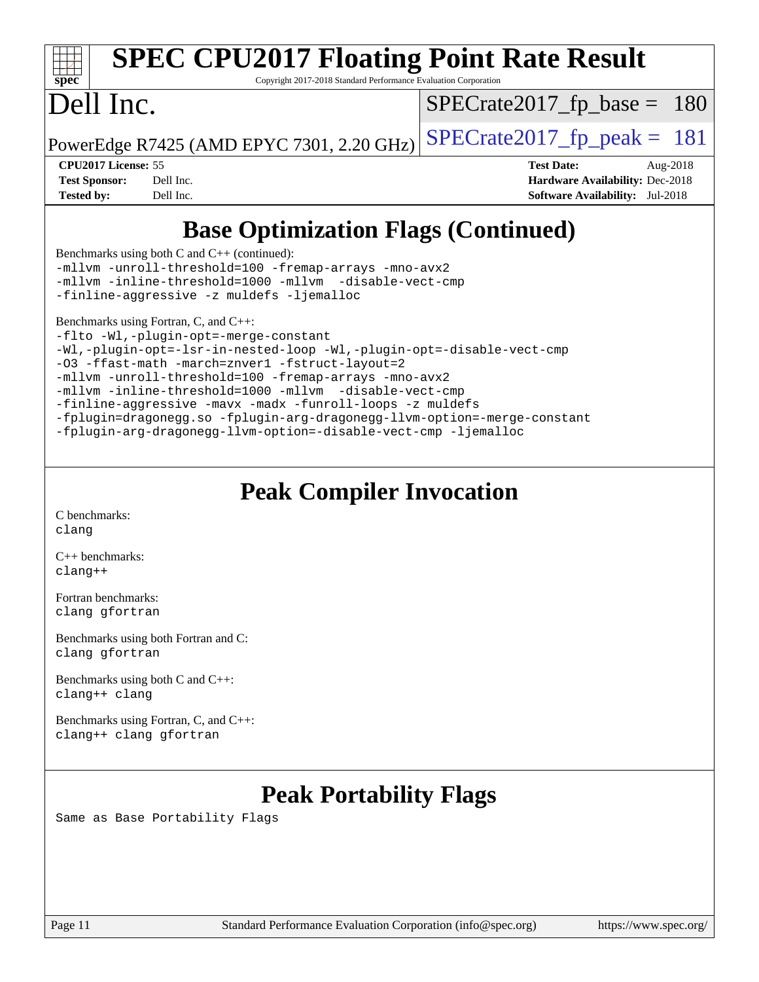| <b>SPEC CPU2017 Floating Point Rate Result</b><br>spec<br>Copyright 2017-2018 Standard Performance Evaluation Corporation                                |                                        |  |  |  |  |
|----------------------------------------------------------------------------------------------------------------------------------------------------------|----------------------------------------|--|--|--|--|
| Dell Inc.                                                                                                                                                | $SPECrate2017_fp\_base = 180$          |  |  |  |  |
| PowerEdge R7425 (AMD EPYC 7301, 2.20 GHz)                                                                                                                | $SPECrate2017fp peak = 181$            |  |  |  |  |
| <b>CPU2017 License: 55</b>                                                                                                                               | <b>Test Date:</b><br>Aug-2018          |  |  |  |  |
| <b>Test Sponsor:</b><br>Dell Inc.                                                                                                                        | Hardware Availability: Dec-2018        |  |  |  |  |
| <b>Tested by:</b><br>Dell Inc.                                                                                                                           | <b>Software Availability:</b> Jul-2018 |  |  |  |  |
| <b>Base Optimization Flags (Continued)</b><br>Benchmarks using both C and $C_{++}$ (continued):<br>-mllvm -unroll-threshold=100 -fremap-arrays -mno-avx2 |                                        |  |  |  |  |

[Benchmarks using Fortran, C, and C++:](http://www.spec.org/auto/cpu2017/Docs/result-fields.html#BenchmarksusingFortranCandCXX)

[-finline-aggressive](http://www.spec.org/cpu2017/results/res2018q4/cpu2017-20181029-09371.flags.html#user_CC_CXXbase_F-finline-aggressive) [-z muldefs](http://www.spec.org/cpu2017/results/res2018q4/cpu2017-20181029-09371.flags.html#user_CC_CXXbase_F-z-muldefs) [-ljemalloc](http://www.spec.org/cpu2017/results/res2018q4/cpu2017-20181029-09371.flags.html#user_CC_CXXbase_jemalloc-lib_d1249b907c500fa1c0672f44f562e3d0f79738ae9e3c4a9c376d49f265a04b9c99b167ecedbf6711b3085be911c67ff61f150a17b3472be731631ba4d0471706)

[-flto](http://www.spec.org/cpu2017/results/res2018q4/cpu2017-20181029-09371.flags.html#user_CC_CXX_FCbase_lto) [-Wl,-plugin-opt=-merge-constant](http://www.spec.org/cpu2017/results/res2018q4/cpu2017-20181029-09371.flags.html#user_CC_CXX_FCbase_F-merge-constant_1d79771b5442061d9c8e05556c6b0c655e6c9e66f8c6936b0129d434b6acd2b1cf1b7cd2540d1570ff636111b08a6bc36e2e61fc34531f8ef7c1a34c57be1dbb) [-Wl,-plugin-opt=-lsr-in-nested-loop](http://www.spec.org/cpu2017/results/res2018q4/cpu2017-20181029-09371.flags.html#user_CC_CXX_FCbase_lsr-in-nested-loop_1cff93fd95162f5e77640b5271e8bed680fb62b4a8d96fb8ab217ff3244646f1fbb342e31af83c263403bbf5249c7dc7732d5c86c3eab4cc8d32dcb7a6f33ca0) [-Wl,-plugin-opt=-disable-vect-cmp](http://www.spec.org/cpu2017/results/res2018q4/cpu2017-20181029-09371.flags.html#user_CC_CXX_FCbase_disable-vect-cmp_1056b9a09b8ddc126e023b5f99ae33179ef568835465af9b7adeacf4b6480ff575c8aee439265bcfbcbf086f33f2fa5cca2bc4cf52b64c0cd2e10f6503cba02d) [-O3](http://www.spec.org/cpu2017/results/res2018q4/cpu2017-20181029-09371.flags.html#user_CC_CXX_FCbase_F-O3) [-ffast-math](http://www.spec.org/cpu2017/results/res2018q4/cpu2017-20181029-09371.flags.html#user_CC_CXX_FCbase_F-aocc-ffast-math_78dd175de6534c2005829757b9b0f2878e57b067cce6f7c443b2250ac68890960e2e1b320ca04b81ff7c62c6f87870ed05f06baf7875eea2990d38e3b73c71f1) [-march=znver1](http://www.spec.org/cpu2017/results/res2018q4/cpu2017-20181029-09371.flags.html#user_CC_CXX_FCbase_F-march) [-fstruct-layout=2](http://www.spec.org/cpu2017/results/res2018q4/cpu2017-20181029-09371.flags.html#user_CC_CXX_FCbase_F-fstruct-layout_a05ec02e17cdf7fe0c3950a6b005251b2b1e5e67af2b5298cf72714730c3d59ba290e75546b10aa22dac074c15ceaca36ae22c62cb51bcb2fbdc9dc4e7e222c4) [-mllvm -unroll-threshold=100](http://www.spec.org/cpu2017/results/res2018q4/cpu2017-20181029-09371.flags.html#user_CC_CXX_FCbase_F-unroll-threshold_2755d0c78138845d361fa1543e3a063fffa198df9b3edf0cfb856bbc88a81e1769b12ac7a550c5d35197be55360db1a3f95a8d1304df999456cabf5120c45168) [-fremap-arrays](http://www.spec.org/cpu2017/results/res2018q4/cpu2017-20181029-09371.flags.html#user_CC_CXX_FCbase_F-fremap-arrays) [-mno-avx2](http://www.spec.org/cpu2017/results/res2018q4/cpu2017-20181029-09371.flags.html#user_CC_CXX_FCbase_F-mno-avx2) [-mllvm -inline-threshold=1000](http://www.spec.org/cpu2017/results/res2018q4/cpu2017-20181029-09371.flags.html#user_CC_CXX_FCbase_inline-threshold_b7832241b0a6397e4ecdbaf0eb7defdc10f885c2a282fa3240fdc99844d543fda39cf8a4a9dccf68cf19b5438ac3b455264f478df15da0f4988afa40d8243bab) [-mllvm -disable-vect-cmp](http://www.spec.org/cpu2017/results/res2018q4/cpu2017-20181029-09371.flags.html#user_CC_CXX_FCbase_disable-vect-cmp_d995c9eb800469498c6893dc847c54c903d59847b18cb2ac22011b9af7010c96d2d48d3c6b41246fe86945001509aa4dc528afb61cb238fd3b256a31781ea0cf) [-finline-aggressive](http://www.spec.org/cpu2017/results/res2018q4/cpu2017-20181029-09371.flags.html#user_CC_CXX_FCbase_F-finline-aggressive) [-mavx](http://www.spec.org/cpu2017/results/res2018q4/cpu2017-20181029-09371.flags.html#user_CC_CXX_FCbase_F-mavx) [-madx](http://www.spec.org/cpu2017/results/res2018q4/cpu2017-20181029-09371.flags.html#user_CC_CXX_FCbase_F-madx) [-funroll-loops](http://www.spec.org/cpu2017/results/res2018q4/cpu2017-20181029-09371.flags.html#user_CC_CXX_FCbase_aocc-funroll-loops) [-z muldefs](http://www.spec.org/cpu2017/results/res2018q4/cpu2017-20181029-09371.flags.html#user_CC_CXX_FCbase_F-z-muldefs) [-fplugin=dragonegg.so](http://www.spec.org/cpu2017/results/res2018q4/cpu2017-20181029-09371.flags.html#user_CC_CXX_FCbase_F-fpluginDragonEgg) [-fplugin-arg-dragonegg-llvm-option=-merge-constant](http://www.spec.org/cpu2017/results/res2018q4/cpu2017-20181029-09371.flags.html#user_CC_CXX_FCbase_F-merge-constant_37fd66d07a4fbae8f1b816e843c3ed1ebaa48f794b65ea8be746a1880566a3d23eba4a3c37b5c024650311adcf9247c62af28144803b3729b14be14423fa5142) [-fplugin-arg-dragonegg-llvm-option=-disable-vect-cmp](http://www.spec.org/cpu2017/results/res2018q4/cpu2017-20181029-09371.flags.html#user_CC_CXX_FCbase_disable-vect-cmp_d119dd6f96524d64dc477d5e6a72268aebe046b42f767098038bf7530fc0cc546dd329b2376104fde185baca14f7365ef86ccd3ff602b57a7839de005478f594) [-ljemalloc](http://www.spec.org/cpu2017/results/res2018q4/cpu2017-20181029-09371.flags.html#user_CC_CXX_FCbase_jemalloc-lib_d1249b907c500fa1c0672f44f562e3d0f79738ae9e3c4a9c376d49f265a04b9c99b167ecedbf6711b3085be911c67ff61f150a17b3472be731631ba4d0471706)

[-mllvm -inline-threshold=1000](http://www.spec.org/cpu2017/results/res2018q4/cpu2017-20181029-09371.flags.html#user_CC_CXXbase_inline-threshold_b7832241b0a6397e4ecdbaf0eb7defdc10f885c2a282fa3240fdc99844d543fda39cf8a4a9dccf68cf19b5438ac3b455264f478df15da0f4988afa40d8243bab) [-mllvm -disable-vect-cmp](http://www.spec.org/cpu2017/results/res2018q4/cpu2017-20181029-09371.flags.html#user_CC_CXXbase_disable-vect-cmp_d995c9eb800469498c6893dc847c54c903d59847b18cb2ac22011b9af7010c96d2d48d3c6b41246fe86945001509aa4dc528afb61cb238fd3b256a31781ea0cf)

## **[Peak Compiler Invocation](http://www.spec.org/auto/cpu2017/Docs/result-fields.html#PeakCompilerInvocation)**

[C benchmarks](http://www.spec.org/auto/cpu2017/Docs/result-fields.html#Cbenchmarks): [clang](http://www.spec.org/cpu2017/results/res2018q4/cpu2017-20181029-09371.flags.html#user_CCpeak_Fclang3_a68b77bfed473bd9cdd22529af008e8306c2e3948617c8991604c1a2000ee4a73ef90dd8bc793e105fe4165a625d26dacbda4708d828ad19048918c071b363ec)

[C++ benchmarks:](http://www.spec.org/auto/cpu2017/Docs/result-fields.html#CXXbenchmarks) [clang++](http://www.spec.org/cpu2017/results/res2018q4/cpu2017-20181029-09371.flags.html#user_CXXpeak_Fclang3_57a48582e5be507d19b2527b3e7d4f85d9b8669ffc9a8a0dbb9bcf949a918a58bbab411e0c4d14a3922022a3e425a90db94042683824c1806feff4324ca1000d)

[Fortran benchmarks](http://www.spec.org/auto/cpu2017/Docs/result-fields.html#Fortranbenchmarks): [clang](http://www.spec.org/cpu2017/results/res2018q4/cpu2017-20181029-09371.flags.html#user_FCpeak_Fclang3_a68b77bfed473bd9cdd22529af008e8306c2e3948617c8991604c1a2000ee4a73ef90dd8bc793e105fe4165a625d26dacbda4708d828ad19048918c071b363ec) [gfortran](http://www.spec.org/cpu2017/results/res2018q4/cpu2017-20181029-09371.flags.html#user_FCpeak_aocc-gfortran_128c91a56d61ddb07404721e65b8f9498c31a443dacbd3b7f212891090eca86e2d099b520f75b99e9e8ac4fdec01f4d15f0b65e47123ec4c42b0759045731a1f)

[Benchmarks using both Fortran and C](http://www.spec.org/auto/cpu2017/Docs/result-fields.html#BenchmarksusingbothFortranandC): [clang](http://www.spec.org/cpu2017/results/res2018q4/cpu2017-20181029-09371.flags.html#user_CC_FCpeak_Fclang3_a68b77bfed473bd9cdd22529af008e8306c2e3948617c8991604c1a2000ee4a73ef90dd8bc793e105fe4165a625d26dacbda4708d828ad19048918c071b363ec) [gfortran](http://www.spec.org/cpu2017/results/res2018q4/cpu2017-20181029-09371.flags.html#user_CC_FCpeak_aocc-gfortran_128c91a56d61ddb07404721e65b8f9498c31a443dacbd3b7f212891090eca86e2d099b520f75b99e9e8ac4fdec01f4d15f0b65e47123ec4c42b0759045731a1f)

[Benchmarks using both C and C++](http://www.spec.org/auto/cpu2017/Docs/result-fields.html#BenchmarksusingbothCandCXX): [clang++](http://www.spec.org/cpu2017/results/res2018q4/cpu2017-20181029-09371.flags.html#user_CC_CXXpeak_Fclang3_57a48582e5be507d19b2527b3e7d4f85d9b8669ffc9a8a0dbb9bcf949a918a58bbab411e0c4d14a3922022a3e425a90db94042683824c1806feff4324ca1000d) [clang](http://www.spec.org/cpu2017/results/res2018q4/cpu2017-20181029-09371.flags.html#user_CC_CXXpeak_Fclang3_a68b77bfed473bd9cdd22529af008e8306c2e3948617c8991604c1a2000ee4a73ef90dd8bc793e105fe4165a625d26dacbda4708d828ad19048918c071b363ec)

[Benchmarks using Fortran, C, and C++:](http://www.spec.org/auto/cpu2017/Docs/result-fields.html#BenchmarksusingFortranCandCXX) [clang++](http://www.spec.org/cpu2017/results/res2018q4/cpu2017-20181029-09371.flags.html#user_CC_CXX_FCpeak_Fclang3_57a48582e5be507d19b2527b3e7d4f85d9b8669ffc9a8a0dbb9bcf949a918a58bbab411e0c4d14a3922022a3e425a90db94042683824c1806feff4324ca1000d) [clang](http://www.spec.org/cpu2017/results/res2018q4/cpu2017-20181029-09371.flags.html#user_CC_CXX_FCpeak_Fclang3_a68b77bfed473bd9cdd22529af008e8306c2e3948617c8991604c1a2000ee4a73ef90dd8bc793e105fe4165a625d26dacbda4708d828ad19048918c071b363ec) [gfortran](http://www.spec.org/cpu2017/results/res2018q4/cpu2017-20181029-09371.flags.html#user_CC_CXX_FCpeak_aocc-gfortran_128c91a56d61ddb07404721e65b8f9498c31a443dacbd3b7f212891090eca86e2d099b520f75b99e9e8ac4fdec01f4d15f0b65e47123ec4c42b0759045731a1f)

## **[Peak Portability Flags](http://www.spec.org/auto/cpu2017/Docs/result-fields.html#PeakPortabilityFlags)**

Same as Base Portability Flags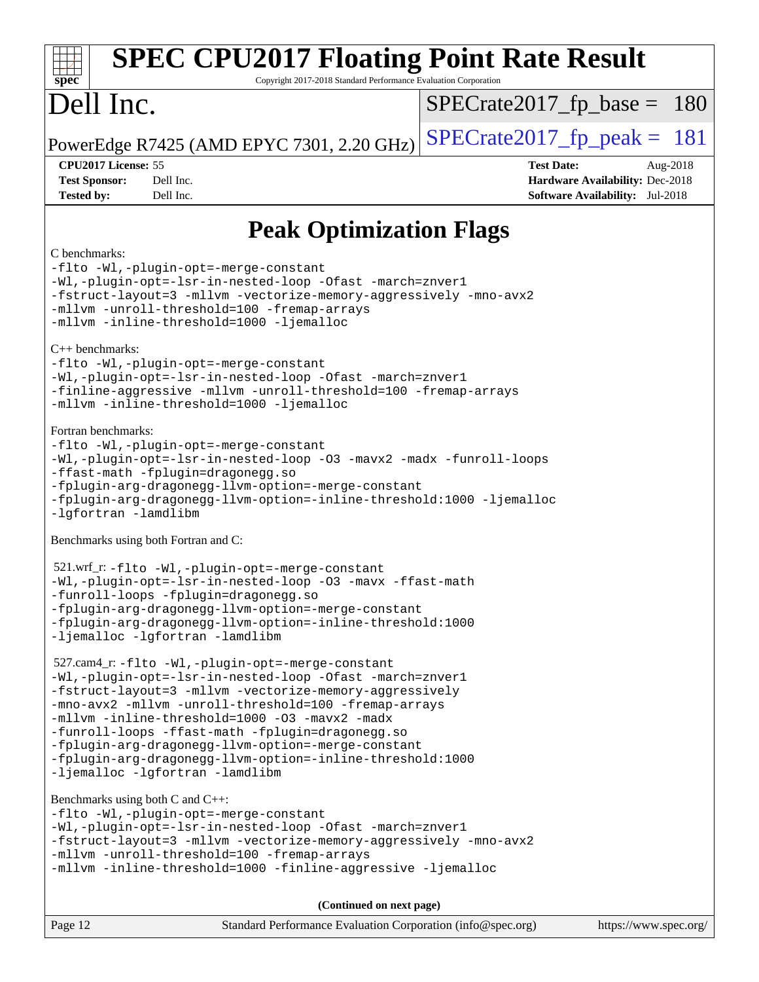| <b>SPEC CPU2017 Floating Point Rate Result</b><br>Copyright 2017-2018 Standard Performance Evaluation Corporation<br>$s\overline{p}$ ec <sup>®</sup>                                                                                                                                                                                                                                                                                                                                                                           |                                                                                                            |  |  |  |
|--------------------------------------------------------------------------------------------------------------------------------------------------------------------------------------------------------------------------------------------------------------------------------------------------------------------------------------------------------------------------------------------------------------------------------------------------------------------------------------------------------------------------------|------------------------------------------------------------------------------------------------------------|--|--|--|
| Dell Inc.                                                                                                                                                                                                                                                                                                                                                                                                                                                                                                                      | $SPECrate2017_fp\_base = 180$                                                                              |  |  |  |
| PowerEdge R7425 (AMD EPYC 7301, 2.20 GHz)                                                                                                                                                                                                                                                                                                                                                                                                                                                                                      | $SPECrate2017_fp\_peak = 181$                                                                              |  |  |  |
| CPU2017 License: 55<br><b>Test Sponsor:</b><br>Dell Inc.<br>Dell Inc.<br><b>Tested by:</b>                                                                                                                                                                                                                                                                                                                                                                                                                                     | <b>Test Date:</b><br>Aug-2018<br>Hardware Availability: Dec-2018<br><b>Software Availability:</b> Jul-2018 |  |  |  |
| <b>Peak Optimization Flags</b>                                                                                                                                                                                                                                                                                                                                                                                                                                                                                                 |                                                                                                            |  |  |  |
| C benchmarks:<br>-flto -Wl,-plugin-opt=-merge-constant<br>-Wl,-plugin-opt=-lsr-in-nested-loop -Ofast -march=znver1<br>-fstruct-layout=3 -mllvm -vectorize-memory-aggressively -mno-avx2<br>-mllvm -unroll-threshold=100 -fremap-arrays<br>-mllvm -inline-threshold=1000 -ljemalloc<br>$C_{++}$ benchmarks:<br>-flto -Wl,-plugin-opt=-merge-constant<br>-Wl,-plugin-opt=-lsr-in-nested-loop -Ofast -march=znver1<br>-finline-aggressive -mllvm -unroll-threshold=100 -fremap-arrays<br>-mllvm -inline-threshold=1000 -ljemalloc |                                                                                                            |  |  |  |
| Fortran benchmarks:<br>-flto -Wl,-plugin-opt=-merge-constant<br>-Wl,-plugin-opt=-lsr-in-nested-loop -03 -mavx2 -madx -funroll-loops<br>-ffast-math -fplugin=dragonegg.so<br>-fplugin-arg-dragonegg-llvm-option=-merge-constant<br>-fplugin-arg-dragonegg-llvm-option=-inline-threshold:1000 -ljemalloc<br>-lgfortran -lamdlibm                                                                                                                                                                                                 |                                                                                                            |  |  |  |
| Benchmarks using both Fortran and C:                                                                                                                                                                                                                                                                                                                                                                                                                                                                                           |                                                                                                            |  |  |  |
| 521.wrf_r:-flto -Wl,-plugin-opt=-merge-constant<br>-Wl,-plugin-opt=-lsr-in-nested-loop -03 -mavx -ffast-math<br>-funroll-loops -fplugin=dragonegg.so<br>-fplugin-arg-dragonegg-llvm-option=-merge-constant<br>-fplugin-arg-dragonegg-llvm-option=-inline-threshold:1000<br>-ljemalloc -lgfortran -lamdlibm                                                                                                                                                                                                                     |                                                                                                            |  |  |  |
| 527.cam4_r: -flto -Wl,-plugin-opt=-merge-constant<br>-Wl,-plugin-opt=-lsr-in-nested-loop -Ofast -march=znver1<br>-fstruct-layout=3 -mllvm -vectorize-memory-aggressively<br>-mno-avx2 -mllvm -unroll-threshold=100 -fremap-arrays<br>-mllvm -inline-threshold=1000 -03 -mayx2 -madx<br>-funroll-loops -ffast-math -fplugin=dragonegg.so<br>-fplugin-arg-dragonegg-llvm-option=-merge-constant<br>-fplugin-arg-dragonegg-llvm-option=-inline-threshold:1000<br>-ljemalloc -lgfortran -lamdlibm                                  |                                                                                                            |  |  |  |
| Benchmarks using both C and C++:<br>-flto -Wl,-plugin-opt=-merge-constant<br>-Wl,-plugin-opt=-lsr-in-nested-loop -Ofast -march=znver1<br>-fstruct-layout=3 -mllvm -vectorize-memory-aggressively -mno-avx2<br>-mllvm -unroll-threshold=100 -fremap-arrays<br>-mllvm -inline-threshold=1000 -finline-aggressive -ljemalloc                                                                                                                                                                                                      |                                                                                                            |  |  |  |
| (Continued on next page)                                                                                                                                                                                                                                                                                                                                                                                                                                                                                                       |                                                                                                            |  |  |  |
| Page 12<br>Standard Performance Evaluation Corporation (info@spec.org)                                                                                                                                                                                                                                                                                                                                                                                                                                                         | https://www.spec.org/                                                                                      |  |  |  |